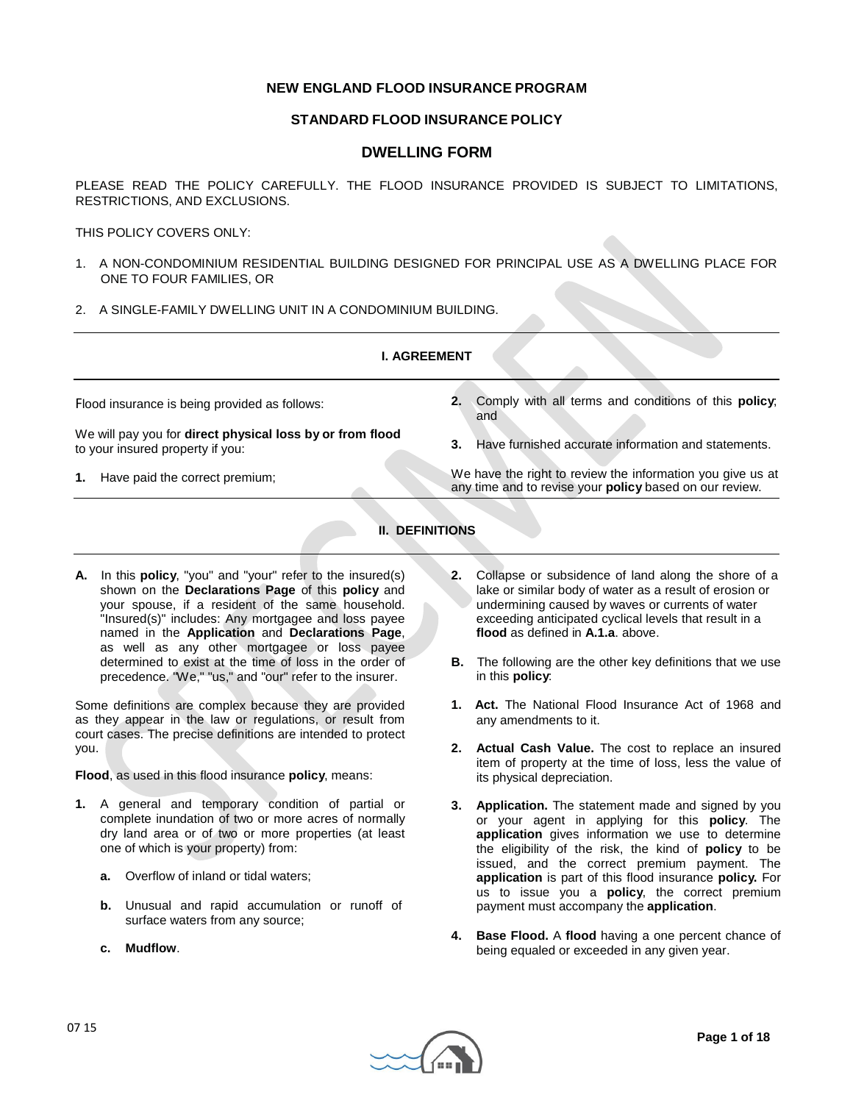# **NEW ENGLAND FLOOD INSURANCE PROGRAM**

# **STANDARD FLOOD INSURANCE POLICY**

# **DWELLING FORM**

PLEASE READ THE POLICY CAREFULLY. THE FLOOD INSURANCE PROVIDED IS SUBJECT TO LIMITATIONS, RESTRICTIONS, AND EXCLUSIONS.

THIS POLICY COVERS ONLY:

- 1. A NON-CONDOMINIUM RESIDENTIAL BUILDING DESIGNED FOR PRINCIPAL USE AS A DWELLING PLACE FOR ONE TO FOUR FAMILIES, OR
- 2. A SINGLE-FAMILY DWELLING UNIT IN A CONDOMINIUM BUILDING.

| <b>I. AGREEMENT</b>                                                                           |                                                                                                                       |
|-----------------------------------------------------------------------------------------------|-----------------------------------------------------------------------------------------------------------------------|
| Flood insurance is being provided as follows:                                                 | 2. Comply with all terms and conditions of this <b>policy</b> .<br>and                                                |
| We will pay you for direct physical loss by or from flood<br>to your insured property if you: | Have furnished accurate information and statements.<br>3.                                                             |
| Have paid the correct premium;                                                                | We have the right to review the information you give us at<br>any time and to revise your policy based on our review. |
| <b>II. DEFINITIONS</b>                                                                        |                                                                                                                       |

**A.** In this **policy**, "you" and "your" refer to the insured(s) shown on the **Declarations Page** of this **policy** and your spouse, if a resident of the same household. "Insured(s)" includes: Any mortgagee and loss payee named in the **Application** and **Declarations Page**, as well as any other mortgagee or loss payee determined to exist at the time of loss in the order of precedence. "We," "us," and "our" refer to the insurer.

Some definitions are complex because they are provided as they appear in the law or regulations, or result from court cases. The precise definitions are intended to protect you.

**Flood**, as used in this flood insurance **policy**, means:

- **1.** A general and temporary condition of partial or complete inundation of two or more acres of normally dry land area or of two or more properties (at least one of which is your property) from:
	- **a.** Overflow of inland or tidal waters;
	- **b.** Unusual and rapid accumulation or runoff of surface waters from any source;
	- **c. Mudflow**.
- **2.** Collapse or subsidence of land along the shore of a lake or similar body of water as a result of erosion or undermining caused by waves or currents of water exceeding anticipated cyclical levels that result in a **flood** as defined in **A.1.a**. above.
- **B.** The following are the other key definitions that we use in this **policy**:
- **1. Act.** The National Flood Insurance Act of 1968 and any amendments to it.
- **2. Actual Cash Value.** The cost to replace an insured item of property at the time of loss, less the value of its physical depreciation.
- **3. Application.** The statement made and signed by you or your agent in applying for this **policy**. The **application** gives information we use to determine the eligibility of the risk, the kind of **policy** to be issued, and the correct premium payment. The **application** is part of this flood insurance **policy.** For us to issue you a **policy**, the correct premium payment must accompany the **application**.
- **4. Base Flood.** A **flood** having a one percent chance of being equaled or exceeded in any given year.

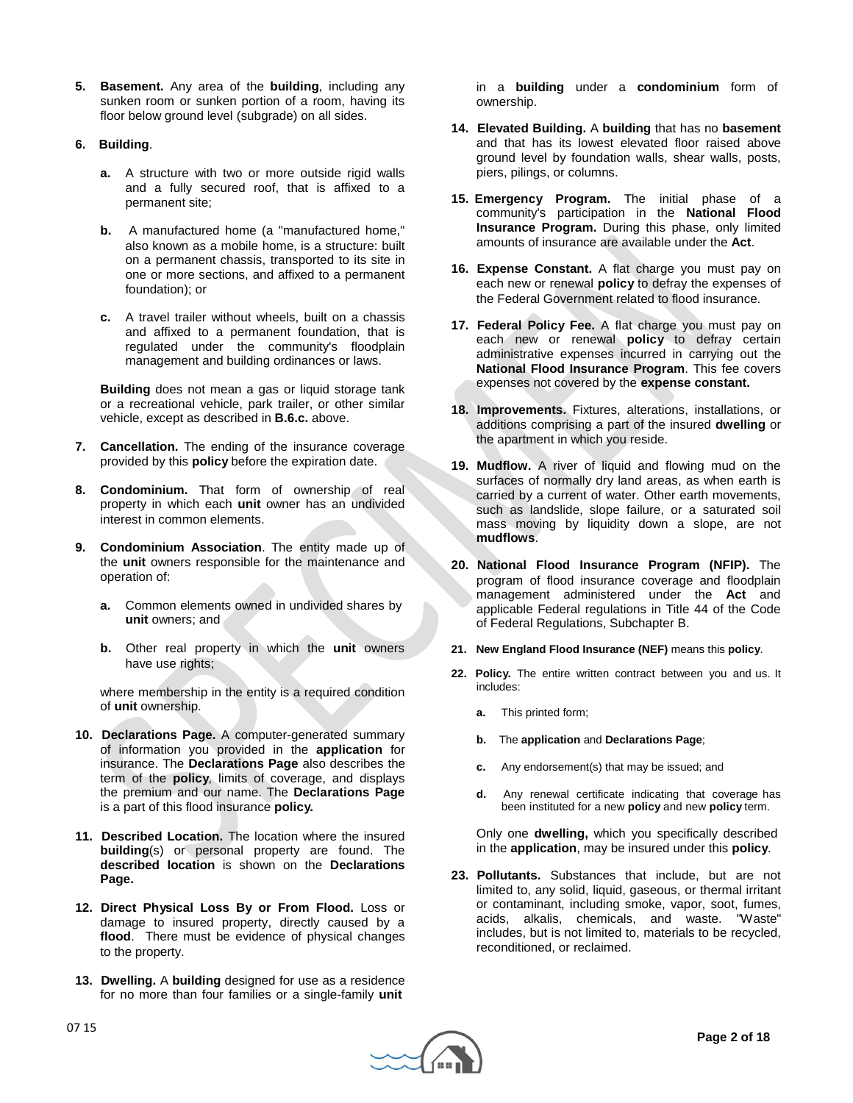**5. Basement.** Any area of the **building**, including any sunken room or sunken portion of a room, having its floor below ground level (subgrade) on all sides.

# **6. Building**.

- **a.** A structure with two or more outside rigid walls and a fully secured roof, that is affixed to a permanent site;
- **b.** A manufactured home (a "manufactured home," also known as a mobile home, is a structure: built on a permanent chassis, transported to its site in one or more sections, and affixed to a permanent foundation); or
- **c.** A travel trailer without wheels, built on a chassis and affixed to a permanent foundation, that is regulated under the community's floodplain management and building ordinances or laws.

**Building** does not mean a gas or liquid storage tank or a recreational vehicle, park trailer, or other similar vehicle, except as described in **B.6.c.** above.

- **7. Cancellation.** The ending of the insurance coverage provided by this **policy** before the expiration date.
- **8. Condominium.** That form of ownership of real property in which each **unit** owner has an undivided interest in common elements.
- **9. Condominium Association**. The entity made up of the **unit** owners responsible for the maintenance and operation of:
	- **a.** Common elements owned in undivided shares by **unit** owners; and
	- **b.** Other real property in which the **unit** owners have use rights;

where membership in the entity is a required condition of **unit** ownership.

- **10. Declarations Page.** A computer-generated summary of information you provided in the **application** for insurance. The **Declarations Page** also describes the term of the **policy**, limits of coverage, and displays the premium and our name. The **Declarations Page**  is a part of this flood insurance **policy.**
- **11. Described Location.** The location where the insured **building**(s) or personal property are found. The **described location** is shown on the **Declarations Page.**
- **12. Direct Physical Loss By or From Flood.** Loss or damage to insured property, directly caused by a **flood**. There must be evidence of physical changes to the property.
- **13. Dwelling.** A **building** designed for use as a residence for no more than four families or a single-family **unit**

in a **building** under a **condominium** form of ownership.

- **14. Elevated Building.** A **building** that has no **basement**  and that has its lowest elevated floor raised above ground level by foundation walls, shear walls, posts, piers, pilings, or columns.
- **15. Emergency Program.** The initial phase of a community's participation in the **National Flood Insurance Program.** During this phase, only limited amounts of insurance are available under the **Act**.
- **16. Expense Constant.** A flat charge you must pay on each new or renewal **policy** to defray the expenses of the Federal Government related to flood insurance.
- **17. Federal Policy Fee.** A flat charge you must pay on each new or renewal **policy** to defray certain administrative expenses incurred in carrying out the **National Flood Insurance Program**. This fee covers expenses not covered by the **expense constant.**
- **18. Improvements.** Fixtures, alterations, installations, or additions comprising a part of the insured **dwelling** or the apartment in which you reside.
- **19. Mudflow.** A river of liquid and flowing mud on the surfaces of normally dry land areas, as when earth is carried by a current of water. Other earth movements, such as landslide, slope failure, or a saturated soil mass moving by liquidity down a slope, are not **mudflows**.
- **20. National Flood Insurance Program (NFIP).** The program of flood insurance coverage and floodplain management administered under the **Act** and applicable Federal regulations in Title 44 of the Code of Federal Regulations, Subchapter B.
- **21. New England Flood Insurance (NEF)** means this **policy**.
- **22. Policy.** The entire written contract between you and us. It includes:
	- **a.** This printed form;
	- **b.** The **application** and **Declarations Page**;
	- **c.** Any endorsement(s) that may be issued; and
	- **d.** Any renewal certificate indicating that coverage has been instituted for a new **policy** and new **policy** term.

Only one **dwelling,** which you specifically described in the **application**, may be insured under this **policy**.

**23. Pollutants.** Substances that include, but are not limited to, any solid, liquid, gaseous, or thermal irritant or contaminant, including smoke, vapor, soot, fumes, acids, alkalis, chemicals, and waste. "Waste" includes, but is not limited to, materials to be recycled, reconditioned, or reclaimed.

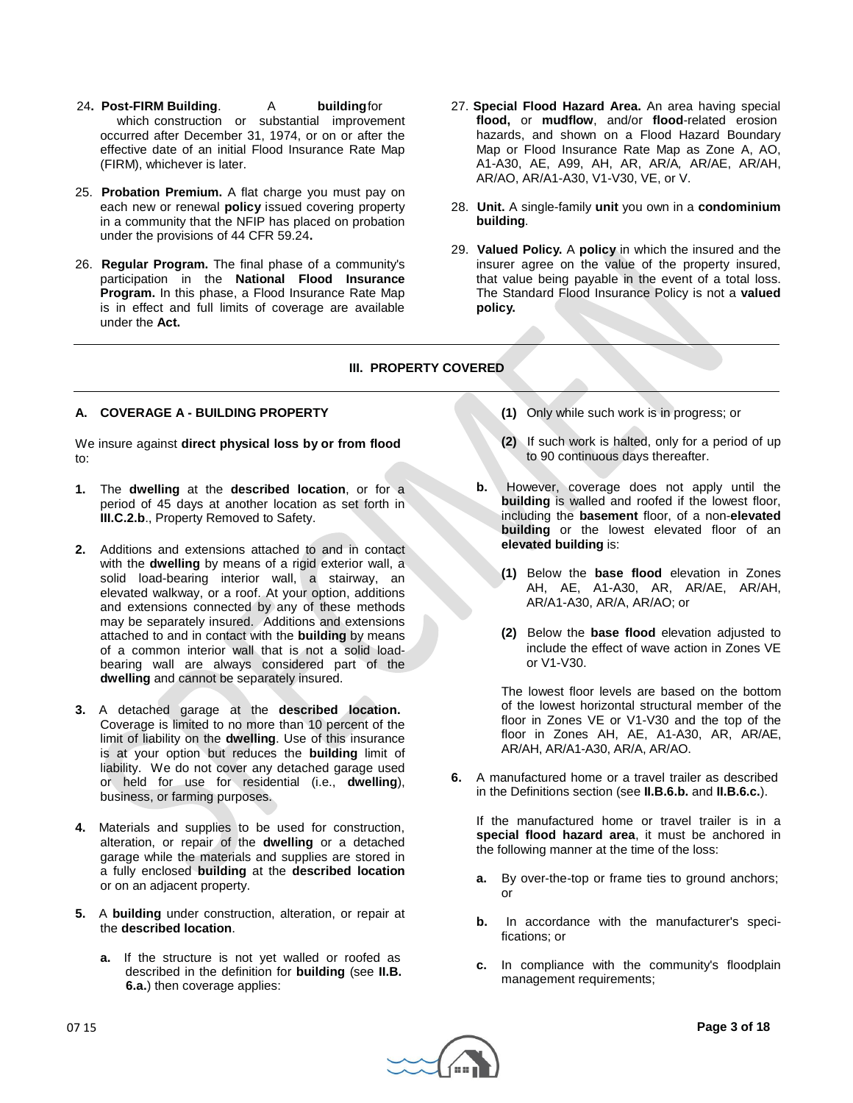- 24**. Post-FIRM Building**. A **building**for which construction or substantial improvement occurred after December 31, 1974, or on or after the effective date of an initial Flood Insurance Rate Map (FIRM), whichever is later.
- 25. **Probation Premium.** A flat charge you must pay on each new or renewal **policy** issued covering property in a community that the NFIP has placed on probation under the provisions of 44 CFR 59.24**.**
- 26. **Regular Program.** The final phase of a community's participation in the **National Flood Insurance Program.** In this phase, a Flood Insurance Rate Map is in effect and full limits of coverage are available under the **Act.**
- 27. **Special Flood Hazard Area.** An area having special flood, or **mudflow**, and/or flood-related erosion hazards, and shown on a Flood Hazard Boundary Map or Flood Insurance Rate Map as Zone A, AO, A1-A30, AE, A99, AH, AR, AR/A*,* AR/AE, AR/AH, AR/AO, AR/A1-A30, V1-V30, VE, or V.
- 28. **Unit.** A single-family **unit** you own in a **condominium building**.
- 29. **Valued Policy.** A **policy** in which the insured and the insurer agree on the value of the property insured, that value being payable in the event of a total loss. The Standard Flood Insurance Policy is not a **valued policy.**

# **III. PROPERTY COVERED**

#### **A. COVERAGE A - BUILDING PROPERTY**

We insure against **direct physical loss by or from flood** to:

- **1.** The **dwelling** at the **described location**, or for a period of 45 days at another location as set forth in **III.C.2.b**., Property Removed to Safety.
- **2.** Additions and extensions attached to and in contact with the **dwelling** by means of a rigid exterior wall, a solid load-bearing interior wall, a stairway, an elevated walkway, or a roof. At your option, additions and extensions connected by any of these methods may be separately insured. Additions and extensions attached to and in contact with the **building** by means of a common interior wall that is not a solid loadbearing wall are always considered part of the **dwelling** and cannot be separately insured.
- **3.** A detached garage at the **described location.** Coverage is limited to no more than 10 percent of the limit of liability on the **dwelling**. Use of this insurance is at your option but reduces the **building** limit of liability. We do not cover any detached garage used or held for use for residential (i.e., **dwelling**), business, or farming purposes.
- **4.** Materials and supplies to be used for construction, alteration, or repair of the **dwelling** or a detached garage while the materials and supplies are stored in a fully enclosed **building** at the **described location**  or on an adjacent property.
- **5.** A **building** under construction, alteration, or repair at the **described location**.
	- **a.** If the structure is not yet walled or roofed as described in the definition for **building** (see **II.B. 6.a.**) then coverage applies:
- **(1)** Only while such work is in progress; or
- **(2)** If such work is halted, only for a period of up to 90 continuous days thereafter.
- **b.** However, coverage does not apply until the **building** is walled and roofed if the lowest floor, including the **basement** floor, of a non-**elevated building** or the lowest elevated floor of an **elevated building** is:
	- **(1)** Below the **base flood** elevation in Zones AH, AE, A1-A30, AR, AR/AE, AR/AH, AR/A1-A30, AR/A, AR/AO; or
	- **(2)** Below the **base flood** elevation adjusted to include the effect of wave action in Zones VE or V1-V30.

The lowest floor levels are based on the bottom of the lowest horizontal structural member of the floor in Zones VE or V1-V30 and the top of the floor in Zones AH, AE, A1-A30, AR, AR/AE, AR/AH, AR/A1-A30, AR/A, AR/AO.

**6.** A manufactured home or a travel trailer as described in the Definitions section (see **II.B.6.b.** and **II.B.6.c.**).

If the manufactured home or travel trailer is in a **special flood hazard area**, it must be anchored in the following manner at the time of the loss:

- **a.** By over-the-top or frame ties to ground anchors; or
- **b.** In accordance with the manufacturer's specifications; or
- **c.** In compliance with the community's floodplain management requirements;

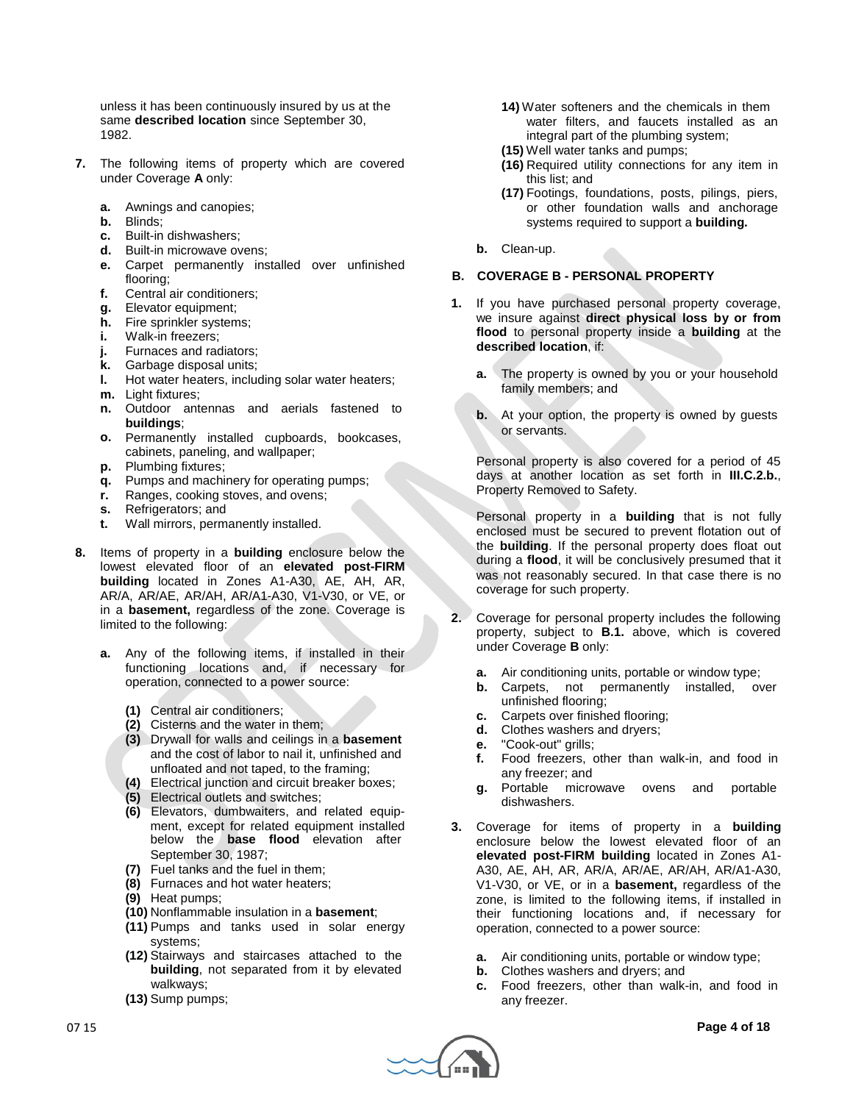unless it has been continuously insured by us at the same **described location** since September 30, 1982.

- **7.** The following items of property which are covered under Coverage **A** only:
	- **a.** Awnings and canopies;
	- **b.** Blinds;
	- **c.** Built-in dishwashers;
	- **d.** Built-in microwave ovens;
	- **e.** Carpet permanently installed over unfinished flooring;
	- **f.** Central air conditioners;
	- **g.** Elevator equipment;
	- **h.** Fire sprinkler systems;
	- **i.** Walk-in freezers;
	- **j.** Furnaces and radiators;
	- **k.** Garbage disposal units;
	- **l.** Hot water heaters, including solar water heaters;
	- **m.** Light fixtures;
	- **n.** Outdoor antennas and aerials fastened to **buildings**;
	- **o.** Permanently installed cupboards, bookcases, cabinets, paneling, and wallpaper;
	- **p.** Plumbing fixtures;
	- **q.** Pumps and machinery for operating pumps;
	- **r.** Ranges, cooking stoves, and ovens;
	- **s.** Refrigerators; and
	- **t.** Wall mirrors, permanently installed.
- **8.** Items of property in a **building** enclosure below the lowest elevated floor of an **elevated post-FIRM building** located in Zones A1-A30, AE, AH, AR, AR/A, AR/AE, AR/AH, AR/A1-A30, V1-V30, or VE, or in a **basement,** regardless of the zone. Coverage is limited to the following:
	- **a.** Any of the following items, if installed in their functioning locations and, if necessary for operation, connected to a power source:
		- **(1)** Central air conditioners;
		- **(2)** Cisterns and the water in them;
		- **(3)** Drywall for walls and ceilings in a **basement** and the cost of labor to nail it, unfinished and unfloated and not taped, to the framing;
		- **(4)** Electrical junction and circuit breaker boxes;
		- **(5)** Electrical outlets and switches;
		- **(6)** Elevators, dumbwaiters, and related equipment, except for related equipment installed below the **base flood** elevation after September 30, 1987;
		- **(7)** Fuel tanks and the fuel in them;
		- **(8)** Furnaces and hot water heaters;
		- **(9)** Heat pumps;
		- **(10)** Nonflammable insulation in a **basement**;
		- **(11)** Pumps and tanks used in solar energy systems;
		- **(12)** Stairways and staircases attached to the **building**, not separated from it by elevated walkways;
		- **(13)** Sump pumps;
- **14)** Water softeners and the chemicals in them water filters, and faucets installed as an integral part of the plumbing system;
- **(15)** Well water tanks and pumps;
- **(16)** Required utility connections for any item in this list; and
- **(17)** Footings, foundations, posts, pilings, piers, or other foundation walls and anchorage systems required to support a **building.**
- **b.** Clean-up.

# **B. COVERAGE B - PERSONAL PROPERTY**

- **1.** If you have purchased personal property coverage, we insure against **direct physical loss by or from flood** to personal property inside a **building** at the **described location**, if:
	- **a.** The property is owned by you or your household family members; and
	- **b.** At your option, the property is owned by guests or servants.

Personal property is also covered for a period of 45 days at another location as set forth in **III.C.2.b.**, Property Removed to Safety.

Personal property in a **building** that is not fully enclosed must be secured to prevent flotation out of the **building**. If the personal property does float out during a **flood**, it will be conclusively presumed that it was not reasonably secured. In that case there is no coverage for such property.

- **2.** Coverage for personal property includes the following property, subject to **B.1.** above, which is covered under Coverage **B** only:
	- **a.** Air conditioning units, portable or window type;
	- **b.** Carpets, not permanently installed, over unfinished flooring;
	- **c.** Carpets over finished flooring;
	- **d.** Clothes washers and dryers;
	- **e.** "Cook-out" grills;<br>**f.** Food freezers. o
	- **f.** Food freezers, other than walk-in, and food in any freezer; and
	- **g.** Portable microwave ovens and portable dishwashers.
- **3.** Coverage for items of property in a **building**  enclosure below the lowest elevated floor of an **elevated post-FIRM building** located in Zones A1- A30, AE, AH, AR, AR/A, AR/AE, AR/AH, AR/A1-A30, V1-V30, or VE, or in a **basement,** regardless of the zone, is limited to the following items, if installed in their functioning locations and, if necessary for operation, connected to a power source:
	- **a.** Air conditioning units, portable or window type;
	- **b.** Clothes washers and dryers; and
	- **c.** Food freezers, other than walk-in, and food in any freezer.

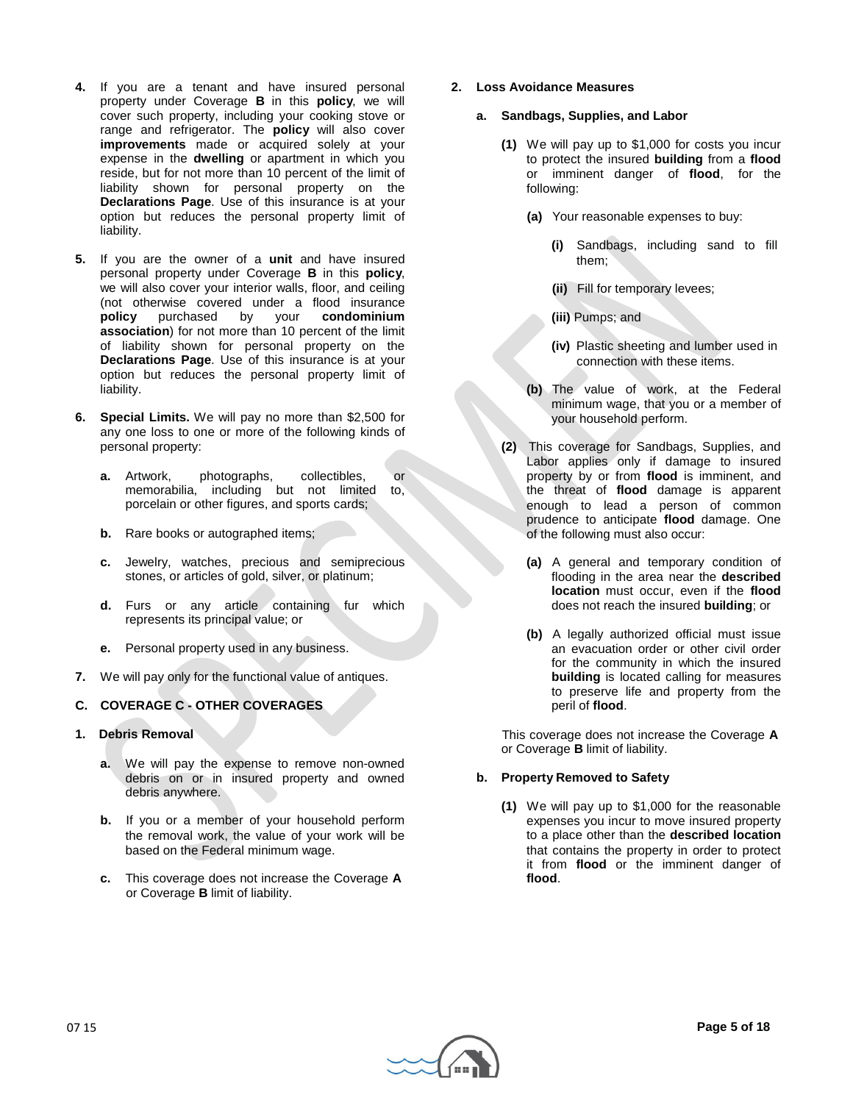- **4.** If you are a tenant and have insured personal property under Coverage **B** in this **policy**, we will cover such property, including your cooking stove or range and refrigerator. The **policy** will also cover **improvements** made or acquired solely at your expense in the **dwelling** or apartment in which you reside, but for not more than 10 percent of the limit of liability shown for personal property on the **Declarations Page**. Use of this insurance is at your option but reduces the personal property limit of liability.
- **5.** If you are the owner of a **unit** and have insured personal property under Coverage **B** in this **policy**, we will also cover your interior walls, floor, and ceiling (not otherwise covered under a flood insurance **policy** purchased by your **condominium association**) for not more than 10 percent of the limit of liability shown for personal property on the **Declarations Page**. Use of this insurance is at your option but reduces the personal property limit of liability.
- **6. Special Limits.** We will pay no more than \$2,500 for any one loss to one or more of the following kinds of personal property:
	- **a.** Artwork, photographs, collectibles, or memorabilia, including but not limited to, porcelain or other figures, and sports cards;
	- **b.** Rare books or autographed items;
	- **c.** Jewelry, watches, precious and semiprecious stones, or articles of gold, silver, or platinum;
	- **d.** Furs or any article containing fur which represents its principal value; or
	- **e.** Personal property used in any business.
- **7.** We will pay only for the functional value of antiques.

# **C. COVERAGE C - OTHER COVERAGES**

- **1. Debris Removal**
	- **a.** We will pay the expense to remove non-owned debris on or in insured property and owned debris anywhere.
	- **b.** If you or a member of your household perform the removal work, the value of your work will be based on the Federal minimum wage.
	- **c.** This coverage does not increase the Coverage **A** or Coverage **B** limit of liability.

#### **2. Loss Avoidance Measures**

#### **a. Sandbags, Supplies, and Labor**

- **(1)** We will pay up to \$1,000 for costs you incur to protect the insured **building** from a **flood**  or imminent danger of **flood**, for the following:
	- **(a)** Your reasonable expenses to buy:
		- **(i)** Sandbags, including sand to fill them;
		- **(ii)** Fill for temporary levees;
		- **(iii)** Pumps; and
		- **(iv)** Plastic sheeting and lumber used in connection with these items.
	- **(b)** The value of work, at the Federal minimum wage, that you or a member of your household perform.
- **(2)** This coverage for Sandbags, Supplies, and Labor applies only if damage to insured property by or from **flood** is imminent, and the threat of **flood** damage is apparent enough to lead a person of common prudence to anticipate **flood** damage. One of the following must also occur:
	- **(a)** A general and temporary condition of flooding in the area near the **described location** must occur, even if the **flood**  does not reach the insured **building**; or
	- **(b)** A legally authorized official must issue an evacuation order or other civil order for the community in which the insured **building** is located calling for measures to preserve life and property from the peril of **flood**.

This coverage does not increase the Coverage **A** or Coverage **B** limit of liability.

# **b. Property Removed to Safety**

**(1)** We will pay up to \$1,000 for the reasonable expenses you incur to move insured property to a place other than the **described location**  that contains the property in order to protect it from **flood** or the imminent danger of **flood**.

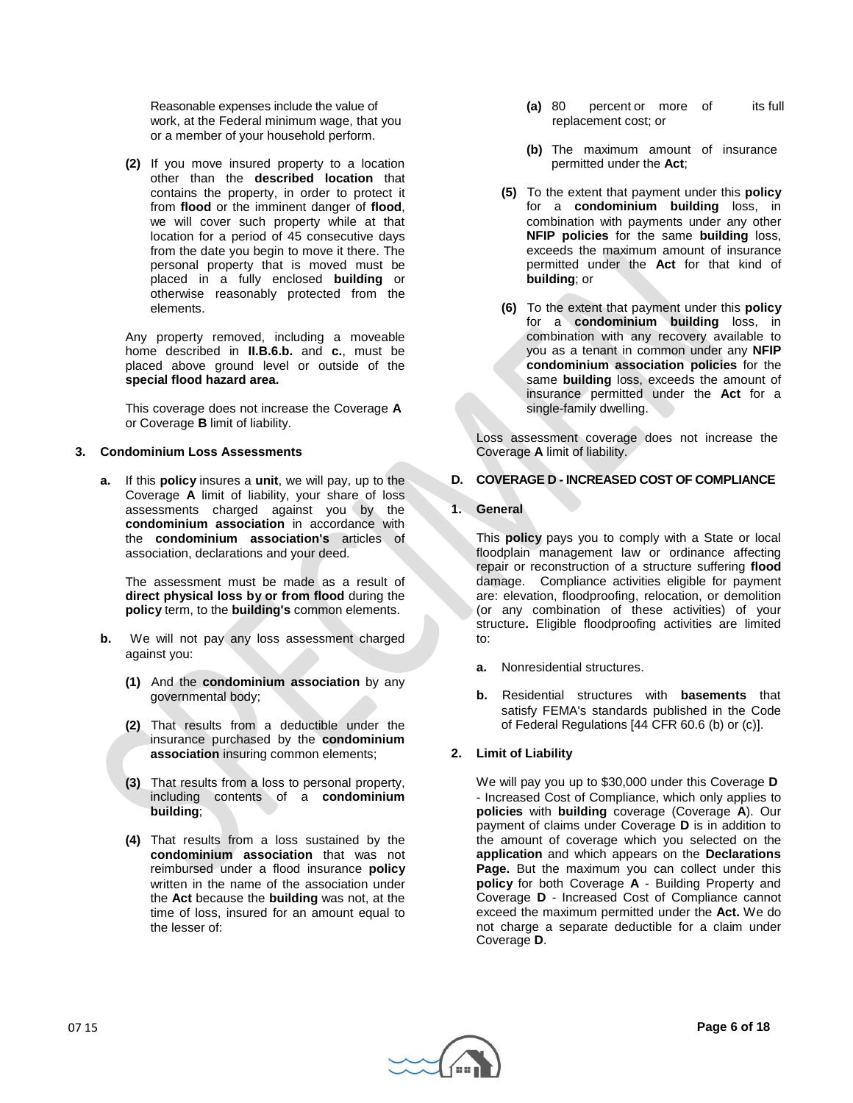Reasonable expenses include the value of work, at the Federal minimum wage, that you or a member of your household perform.

**(2)** If you move insured property to a location other than the **described location** that contains the property, in order to protect it from **flood** or the imminent danger of **flood**, we will cover such property while at that location for a period of 45 consecutive days from the date you begin to move it there. The personal property that is moved must be placed in a fully enclosed **building** or otherwise reasonably protected from the elements.

Any property removed, including a moveable home described in **II.B.6.b.** and **c.**, must be placed above ground level or outside of the **special flood hazard area.**

This coverage does not increase the Coverage **A** or Coverage **B** limit of liability.

#### **3. Condominium Loss Assessments**

**a.** If this **policy** insures a **unit**, we will pay, up to the Coverage **A** limit of liability, your share of loss assessments charged against you by the **condominium association** in accordance with the **condominium association's** articles of association, declarations and your deed.

The assessment must be made as a result of **direct physical loss by or from flood** during the **policy** term, to the **building's** common elements.

- **b.** We will not pay any loss assessment charged against you:
	- **(1)** And the **condominium association** by any governmental body;
	- **(2)** That results from a deductible under the insurance purchased by the **condominium association** insuring common elements;
	- **(3)** That results from a loss to personal property, including contents of a **condominium building**;
	- **(4)** That results from a loss sustained by the **condominium association** that was not reimbursed under a flood insurance **policy**  written in the name of the association under the **Act** because the **building** was not, at the time of loss, insured for an amount equal to the lesser of:
- **(a)** 80 percent or more of its full replacement cost; or
- **(b)** The maximum amount of insurance permitted under the **Act**;
- **(5)** To the extent that payment under this **policy**  for a **condominium building** loss, in combination with payments under any other **NFIP policies** for the same **building** loss, exceeds the maximum amount of insurance permitted under the **Act** for that kind of **building**; or
- **(6)** To the extent that payment under this **policy**  for a **condominium building** loss, in combination with any recovery available to you as a tenant in common under any **NFIP condominium association policies** for the same **building** loss, exceeds the amount of insurance permitted under the **Act** for a single-family dwelling.

Loss assessment coverage does not increase the Coverage **A** limit of liability.

# **D. COVERAGE D - INCREASED COST OF COMPLIANCE**

#### **1. General**

This **policy** pays you to comply with a State or local floodplain management law or ordinance affecting repair or reconstruction of a structure suffering **flood**  damage. Compliance activities eligible for payment are: elevation, floodproofing, relocation, or demolition (or any combination of these activities) of your structure**.** Eligible floodproofing activities are limited to:

- **a.** Nonresidential structures.
- **b.** Residential structures with **basements** that satisfy FEMA's standards published in the Code of Federal Regulations [44 CFR 60.6 (b) or (c)].

# **2. Limit of Liability**

We will pay you up to \$30,000 under this Coverage **D** - Increased Cost of Compliance, which only applies to **policies** with **building** coverage (Coverage **A**). Our payment of claims under Coverage **D** is in addition to the amount of coverage which you selected on the **application** and which appears on the **Declarations Page.** But the maximum you can collect under this **policy** for both Coverage **A** - Building Property and Coverage **D** - Increased Cost of Compliance cannot exceed the maximum permitted under the **Act.** We do not charge a separate deductible for a claim under Coverage **D**.

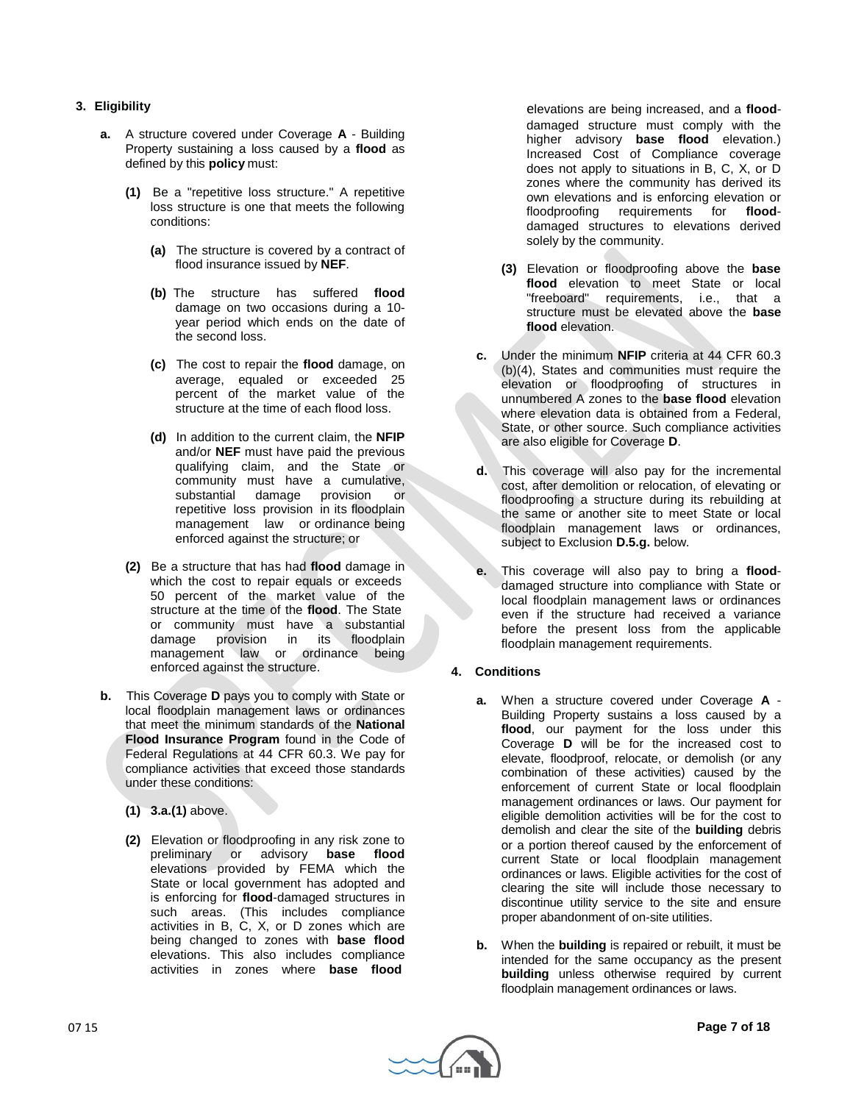### **3. Eligibility**

- **a.** A structure covered under Coverage **A** Building Property sustaining a loss caused by a **flood** as defined by this **policy** must:
	- **(1)** Be a "repetitive loss structure." A repetitive loss structure is one that meets the following conditions:
		- **(a)** The structure is covered by a contract of flood insurance issued by **NEF**.
		- **(b)** The structure has suffered **flood**  damage on two occasions during a 10 year period which ends on the date of the second loss.
		- **(c)** The cost to repair the **flood** damage, on average, equaled or exceeded 25 percent of the market value of the structure at the time of each flood loss.
		- **(d)** In addition to the current claim, the **NFIP** and/or **NEF** must have paid the previous qualifying claim, and the State or community must have a cumulative, substantial damage provision or repetitive loss provision in its floodplain management law or ordinance being enforced against the structure; or
	- **(2)** Be a structure that has had **flood** damage in which the cost to repair equals or exceeds 50 percent of the market value of the structure at the time of the **flood**. The State or community must have a substantial damage provision in its floodplain management law or ordinance being enforced against the structure.
- **b.** This Coverage **D** pays you to comply with State or local floodplain management laws or ordinances that meet the minimum standards of the **National Flood Insurance Program** found in the Code of Federal Regulations at 44 CFR 60.3. We pay for compliance activities that exceed those standards under these conditions:
	- **(1) 3.a.(1)** above.
	- **(2)** Elevation or floodproofing in any risk zone to preliminary or advisory **base flood**  elevations provided by FEMA which the State or local government has adopted and is enforcing for **flood**-damaged structures in such areas. (This includes compliance activities in B, C, X, or D zones which are being changed to zones with **base flood**  elevations. This also includes compliance activities in zones where **base flood**

elevations are being increased, and a **flood**damaged structure must comply with the higher advisory **base flood** elevation.) Increased Cost of Compliance coverage does not apply to situations in B, C, X, or D zones where the community has derived its own elevations and is enforcing elevation or floodproofing requirements for **flood**damaged structures to elevations derived solely by the community.

- **(3)** Elevation or floodproofing above the **base flood** elevation to meet State or local "freeboard" requirements, i.e., that a structure must be elevated above the **base flood** elevation.
- **c.** Under the minimum **NFIP** criteria at 44 CFR 60.3 (b)(4), States and communities must require the elevation or floodproofing of structures in unnumbered A zones to the **base flood** elevation where elevation data is obtained from a Federal. State, or other source. Such compliance activities are also eligible for Coverage **D**.
- **d.** This coverage will also pay for the incremental cost, after demolition or relocation, of elevating or floodproofing a structure during its rebuilding at the same or another site to meet State or local floodplain management laws or ordinances, subject to Exclusion **D.5.g.** below.
- **e.** This coverage will also pay to bring a **flood**damaged structure into compliance with State or local floodplain management laws or ordinances even if the structure had received a variance before the present loss from the applicable floodplain management requirements.

# **4. Conditions**

- **a.** When a structure covered under Coverage **A** Building Property sustains a loss caused by a flood, our payment for the loss under this Coverage **D** will be for the increased cost to elevate, floodproof, relocate, or demolish (or any combination of these activities) caused by the enforcement of current State or local floodplain management ordinances or laws. Our payment for eligible demolition activities will be for the cost to demolish and clear the site of the **building** debris or a portion thereof caused by the enforcement of current State or local floodplain management ordinances or laws. Eligible activities for the cost of clearing the site will include those necessary to discontinue utility service to the site and ensure proper abandonment of on-site utilities.
- **b.** When the **building** is repaired or rebuilt, it must be intended for the same occupancy as the present **building** unless otherwise required by current floodplain management ordinances or laws.

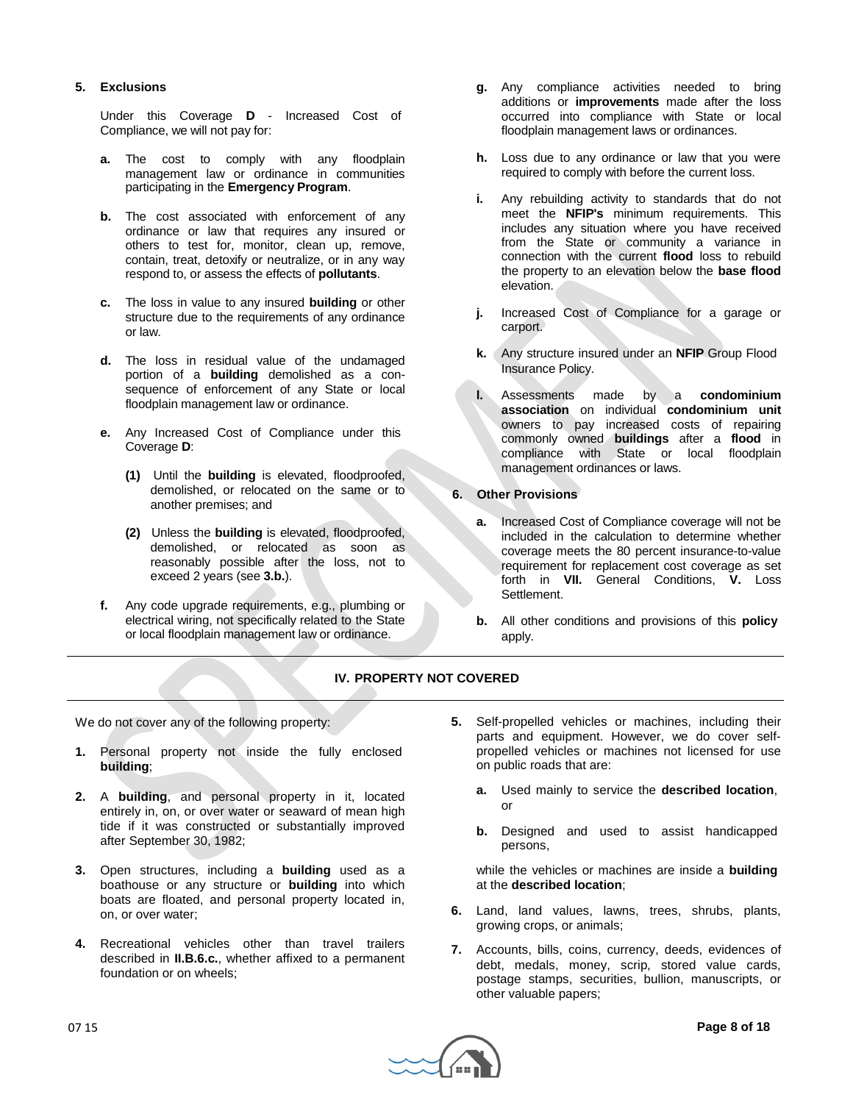### **5. Exclusions**

Under this Coverage **D** - Increased Cost of Compliance, we will not pay for:

- **a.** The cost to comply with any floodplain management law or ordinance in communities participating in the **Emergency Program**.
- **b.** The cost associated with enforcement of any ordinance or law that requires any insured or others to test for, monitor, clean up, remove, contain, treat, detoxify or neutralize, or in any way respond to, or assess the effects of **pollutants**.
- **c.** The loss in value to any insured **building** or other structure due to the requirements of any ordinance or law.
- **d.** The loss in residual value of the undamaged portion of a **building** demolished as a consequence of enforcement of any State or local floodplain management law or ordinance.
- **e.** Any Increased Cost of Compliance under this Coverage **D**:
	- **(1)** Until the **building** is elevated, floodproofed, demolished, or relocated on the same or to another premises; and
	- **(2)** Unless the **building** is elevated, floodproofed, demolished, or relocated as soon as reasonably possible after the loss, not to exceed 2 years (see **3.b.**).
- **f.** Any code upgrade requirements, e.g., plumbing or electrical wiring, not specifically related to the State or local floodplain management law or ordinance.
- **g.** Any compliance activities needed to bring additions or **improvements** made after the loss occurred into compliance with State or local floodplain management laws or ordinances.
- **h.** Loss due to any ordinance or law that you were required to comply with before the current loss.
- **i.** Any rebuilding activity to standards that do not meet the **NFIP's** minimum requirements. This includes any situation where you have received from the State or community a variance in connection with the current **flood** loss to rebuild the property to an elevation below the **base flood**  elevation.
- **j.** Increased Cost of Compliance for a garage or carport.
- **k.** Any structure insured under an **NFIP** Group Flood Insurance Policy.
- **l.** Assessments made by a **condominium association** on individual **condominium unit**  owners to pay increased costs of repairing commonly owned **buildings** after a **flood** in compliance with State or local floodplain management ordinances or laws.
- **6. Other Provisions**
	- **a.** Increased Cost of Compliance coverage will not be included in the calculation to determine whether coverage meets the 80 percent insurance-to-value requirement for replacement cost coverage as set forth in **VII.** General Conditions, **V.** Loss Settlement.
	- **b.** All other conditions and provisions of this **policy** apply.

# **IV. PROPERTY NOT COVERED**

We do not cover any of the following property:

- **1.** Personal property not inside the fully enclosed **building**;
- **2.** A **building**, and personal property in it, located entirely in, on, or over water or seaward of mean high tide if it was constructed or substantially improved after September 30, 1982;
- **3.** Open structures, including a **building** used as a boathouse or any structure or **building** into which boats are floated, and personal property located in, on, or over water;
- **4.** Recreational vehicles other than travel trailers described in **II.B.6.c.**, whether affixed to a permanent foundation or on wheels;
- **5.** Self-propelled vehicles or machines, including their parts and equipment. However, we do cover selfpropelled vehicles or machines not licensed for use on public roads that are:
	- **a.** Used mainly to service the **described location**, or
	- **b.** Designed and used to assist handicapped persons,

while the vehicles or machines are inside a **building** at the **described location**;

- **6.** Land, land values, lawns, trees, shrubs, plants, growing crops, or animals;
- **7.** Accounts, bills, coins, currency, deeds, evidences of debt, medals, money, scrip, stored value cards, postage stamps, securities, bullion, manuscripts, or other valuable papers;

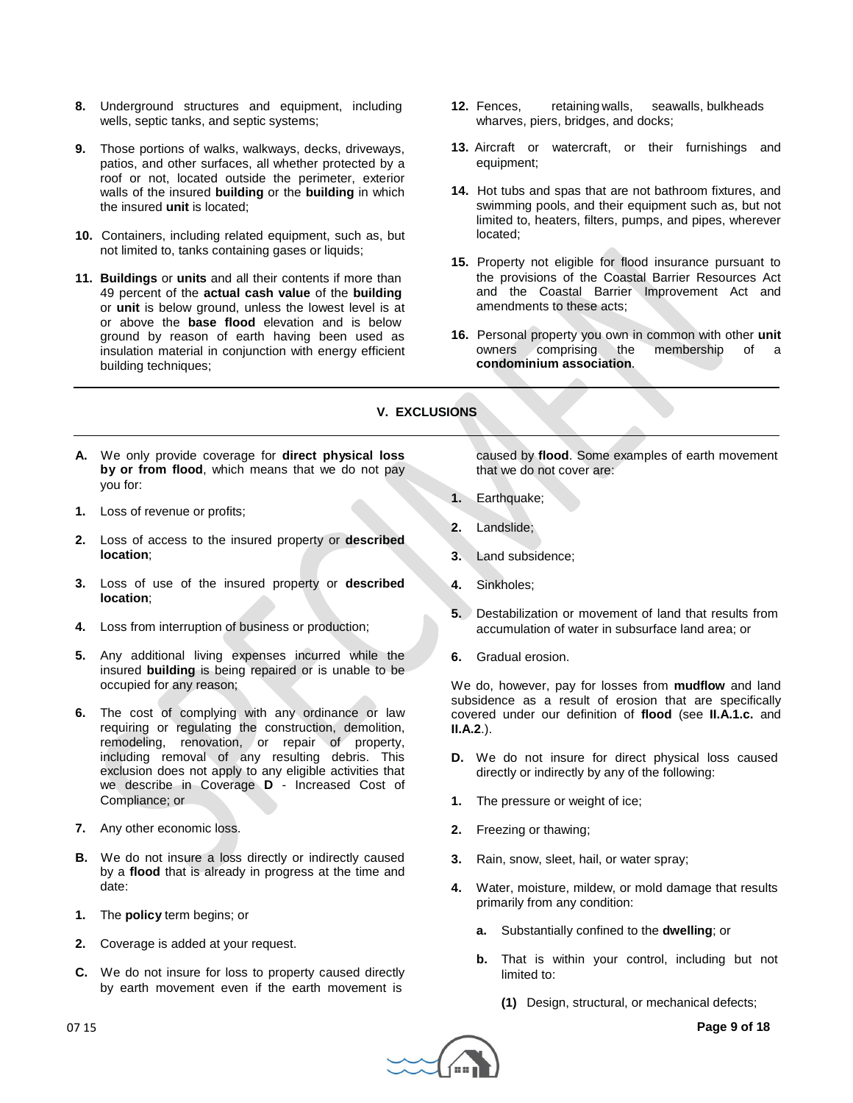- **8.** Underground structures and equipment, including wells, septic tanks, and septic systems;
- **9.** Those portions of walks, walkways, decks, driveways, patios, and other surfaces, all whether protected by a roof or not, located outside the perimeter, exterior walls of the insured **building** or the **building** in which the insured **unit** is located;
- **10.** Containers, including related equipment, such as, but not limited to, tanks containing gases or liquids;
- **11. Buildings** or **units** and all their contents if more than 49 percent of the **actual cash value** of the **building** or **unit** is below ground, unless the lowest level is at or above the **base flood** elevation and is below ground by reason of earth having been used as insulation material in conjunction with energy efficient building techniques;
- 12. Fences, retaining walls, seawalls, bulkheads wharves, piers, bridges, and docks;
- **13.** Aircraft or watercraft, or their furnishings and equipment;
- **14.** Hot tubs and spas that are not bathroom fixtures, and swimming pools, and their equipment such as, but not limited to, heaters, filters, pumps, and pipes, wherever located;
- **15.** Property not eligible for flood insurance pursuant to the provisions of the Coastal Barrier Resources Act and the Coastal Barrier Improvement Act and amendments to these acts;
- **16.** Personal property you own in common with other **unit**  owners comprising the membership of a **condominium association**.

# **V. EXCLUSIONS**

- **A.** We only provide coverage for **direct physical loss by or from flood**, which means that we do not pay you for:
- **1.** Loss of revenue or profits;
- **2.** Loss of access to the insured property or **described location**;
- **3.** Loss of use of the insured property or **described location**;
- **4.** Loss from interruption of business or production;
- **5.** Any additional living expenses incurred while the insured **building** is being repaired or is unable to be occupied for any reason;
- **6.** The cost of complying with any ordinance or law requiring or regulating the construction, demolition, remodeling, renovation, or repair of property, including removal of any resulting debris. This exclusion does not apply to any eligible activities that we describe in Coverage **D** - Increased Cost of Compliance; or
- **7.** Any other economic loss.
- **B.** We do not insure a loss directly or indirectly caused by a **flood** that is already in progress at the time and date:
- **1.** The **policy** term begins; or
- **2.** Coverage is added at your request.
- **C.** We do not insure for loss to property caused directly by earth movement even if the earth movement is

caused by **flood**. Some examples of earth movement that we do not cover are:

- **1.** Earthquake;
- **2.** Landslide;
- **3.** Land subsidence;
- **4.** Sinkholes;
- **5.** Destabilization or movement of land that results from accumulation of water in subsurface land area; or
- **6.** Gradual erosion.

We do, however, pay for losses from **mudflow** and land subsidence as a result of erosion that are specifically covered under our definition of **flood** (see **II.A.1.c.** and **II.A.2**.).

- **D.** We do not insure for direct physical loss caused directly or indirectly by any of the following:
- **1.** The pressure or weight of ice;
- **2.** Freezing or thawing;
- **3.** Rain, snow, sleet, hail, or water spray;
- **4.** Water, moisture, mildew, or mold damage that results primarily from any condition:
	- **a.** Substantially confined to the **dwelling**; or
	- That is within your control, including but not limited to:
		- **(1)** Design, structural, or mechanical defects;

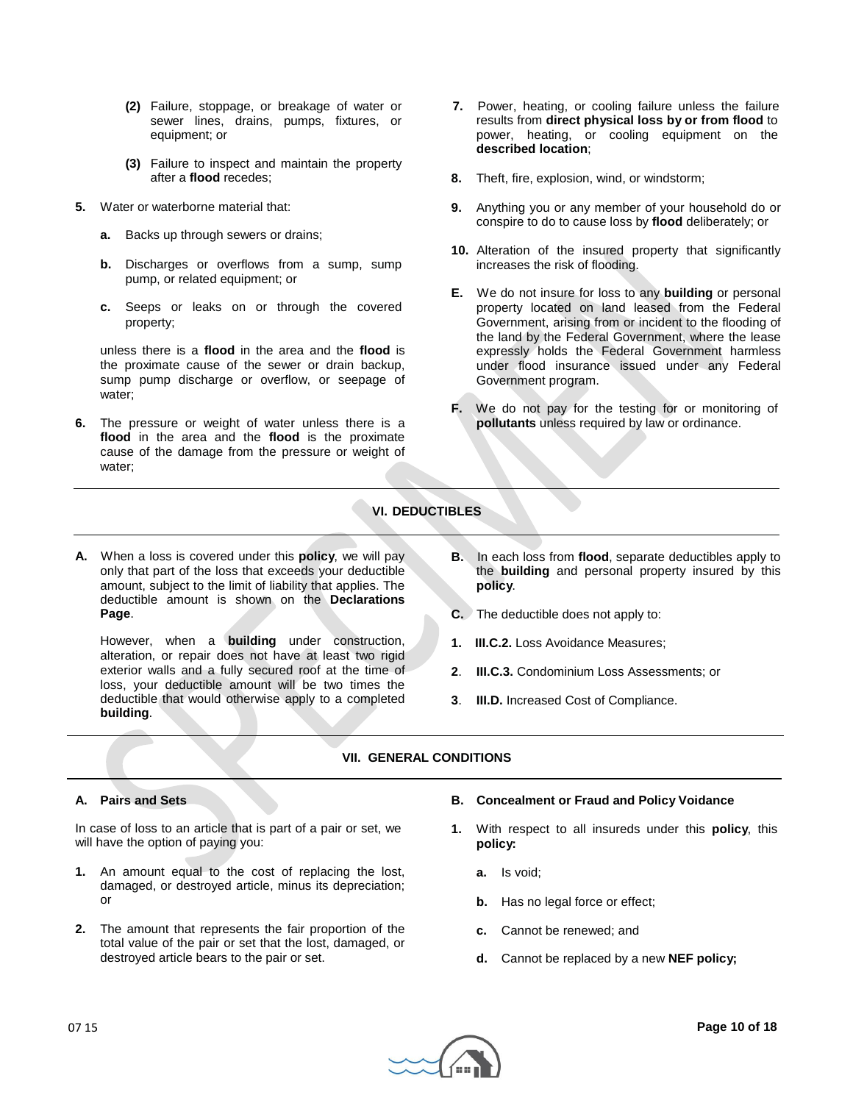- **(2)** Failure, stoppage, or breakage of water or sewer lines, drains, pumps, fixtures, or equipment; or
- **(3)** Failure to inspect and maintain the property after a **flood** recedes;
- **5.** Water or waterborne material that:
	- **a.** Backs up through sewers or drains;
	- **b.** Discharges or overflows from a sump, sump pump, or related equipment; or
	- **c.** Seeps or leaks on or through the covered property;

unless there is a **flood** in the area and the **flood** is the proximate cause of the sewer or drain backup, sump pump discharge or overflow, or seepage of water;

**6.** The pressure or weight of water unless there is a **flood** in the area and the **flood** is the proximate cause of the damage from the pressure or weight of water;

- **7.** Power, heating, or cooling failure unless the failure results from **direct physical loss by or from flood** to power, heating, or cooling equipment on the **described location**;
- **8.** Theft, fire, explosion, wind, or windstorm;
- **9.** Anything you or any member of your household do or conspire to do to cause loss by **flood** deliberately; or
- **10.** Alteration of the insured property that significantly increases the risk of flooding.
- **E.** We do not insure for loss to any **building** or personal property located on land leased from the Federal Government, arising from or incident to the flooding of the land by the Federal Government, where the lease expressly holds the Federal Government harmless under flood insurance issued under any Federal Government program.
- **F.** We do not pay for the testing for or monitoring of **pollutants** unless required by law or ordinance.

# **VI. DEDUCTIBLES**

**A.** When a loss is covered under this **policy**, we will pay only that part of the loss that exceeds your deductible amount, subject to the limit of liability that applies. The deductible amount is shown on the **Declarations Page**.

However, when a **building** under construction, alteration, or repair does not have at least two rigid exterior walls and a fully secured roof at the time of loss, your deductible amount will be two times the deductible that would otherwise apply to a completed **building**.

- **B.** In each loss from **flood**, separate deductibles apply to the **building** and personal property insured by this **policy**.
- **C.** The deductible does not apply to:
- **III.C.2.** Loss Avoidance Measures;
- **2**. **III.C.3.** Condominium Loss Assessments; or
- **3**. **III.D.** Increased Cost of Compliance.

# **VII. GENERAL CONDITIONS**

# **A. Pairs and Sets**

In case of loss to an article that is part of a pair or set, we will have the option of paying you:

- **1.** An amount equal to the cost of replacing the lost, damaged, or destroyed article, minus its depreciation; or
- **2.** The amount that represents the fair proportion of the total value of the pair or set that the lost, damaged, or destroyed article bears to the pair or set.

#### **B. Concealment or Fraud and Policy Voidance**

- **1.** With respect to all insureds under this **policy**, this **policy:**
	- **a.** Is void;
	- **b.** Has no legal force or effect;
	- **c.** Cannot be renewed; and
	- **d.** Cannot be replaced by a new **NEF policy;**

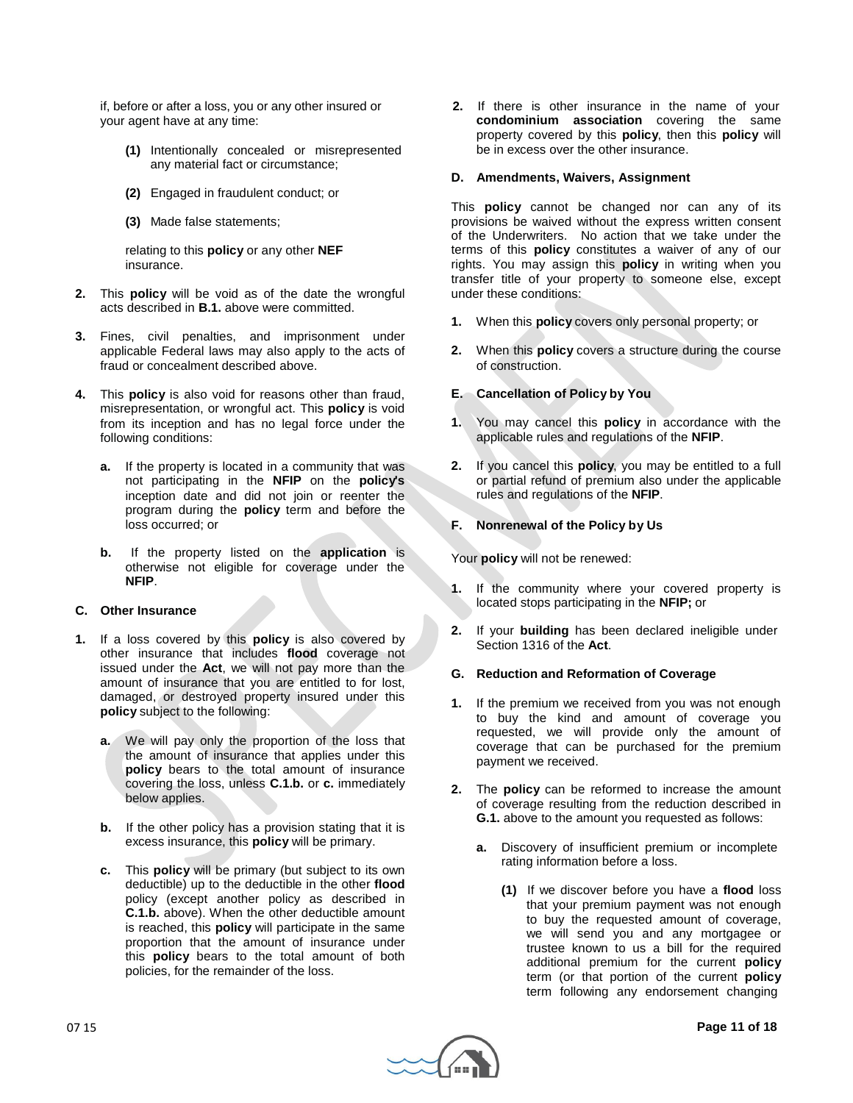if, before or after a loss, you or any other insured or your agent have at any time:

- **(1)** Intentionally concealed or misrepresented any material fact or circumstance;
- **(2)** Engaged in fraudulent conduct; or
- **(3)** Made false statements;

relating to this **policy** or any other **NEF** insurance.

- **2.** This **policy** will be void as of the date the wrongful acts described in **B.1.** above were committed.
- **3.** Fines, civil penalties, and imprisonment under applicable Federal laws may also apply to the acts of fraud or concealment described above.
- **4.** This **policy** is also void for reasons other than fraud, misrepresentation, or wrongful act. This **policy** is void from its inception and has no legal force under the following conditions:
	- **a.** If the property is located in a community that was not participating in the **NFIP** on the **policy's**  inception date and did not join or reenter the program during the **policy** term and before the loss occurred; or
	- **b.** If the property listed on the **application** is otherwise not eligible for coverage under the **NFIP**.

#### **C. Other Insurance**

- **1.** If a loss covered by this **policy** is also covered by other insurance that includes **flood** coverage not issued under the **Act**, we will not pay more than the amount of insurance that you are entitled to for lost, damaged, or destroyed property insured under this **policy** subject to the following:
	- **a.** We will pay only the proportion of the loss that the amount of insurance that applies under this **policy** bears to the total amount of insurance covering the loss, unless **C.1.b.** or **c.** immediately below applies.
	- **b.** If the other policy has a provision stating that it is excess insurance, this **policy** will be primary.
	- **c.** This **policy** will be primary (but subject to its own deductible) up to the deductible in the other **flood**  policy (except another policy as described in **C.1.b.** above). When the other deductible amount is reached, this **policy** will participate in the same proportion that the amount of insurance under this **policy** bears to the total amount of both policies, for the remainder of the loss.

**2.** If there is other insurance in the name of your **condominium association** covering the same property covered by this **policy**, then this **policy** will be in excess over the other insurance.

#### **D. Amendments, Waivers, Assignment**

This **policy** cannot be changed nor can any of its provisions be waived without the express written consent of the Underwriters. No action that we take under the terms of this **policy** constitutes a waiver of any of our rights. You may assign this **policy** in writing when you transfer title of your property to someone else, except under these conditions:

- **1.** When this **policy** covers only personal property; or
- **2.** When this **policy** covers a structure during the course of construction.

#### **E. Cancellation of Policy by You**

- **1.** You may cancel this **policy** in accordance with the applicable rules and regulations of the **NFIP**.
- **2.** If you cancel this **policy**, you may be entitled to a full or partial refund of premium also under the applicable rules and regulations of the **NFIP**.

#### **F. Nonrenewal of the Policy by Us**

Your **policy** will not be renewed:

- **1.** If the community where your covered property is located stops participating in the **NFIP;** or
- **2.** If your **building** has been declared ineligible under Section 1316 of the **Act**.

#### **G. Reduction and Reformation of Coverage**

- **1.** If the premium we received from you was not enough to buy the kind and amount of coverage you requested, we will provide only the amount of coverage that can be purchased for the premium payment we received.
- **2.** The **policy** can be reformed to increase the amount of coverage resulting from the reduction described in **G.1.** above to the amount you requested as follows:
	- **a.** Discovery of insufficient premium or incomplete rating information before a loss.
		- **(1)** If we discover before you have a **flood** loss that your premium payment was not enough to buy the requested amount of coverage, we will send you and any mortgagee or trustee known to us a bill for the required additional premium for the current **policy**  term (or that portion of the current **policy**  term following any endorsement changing

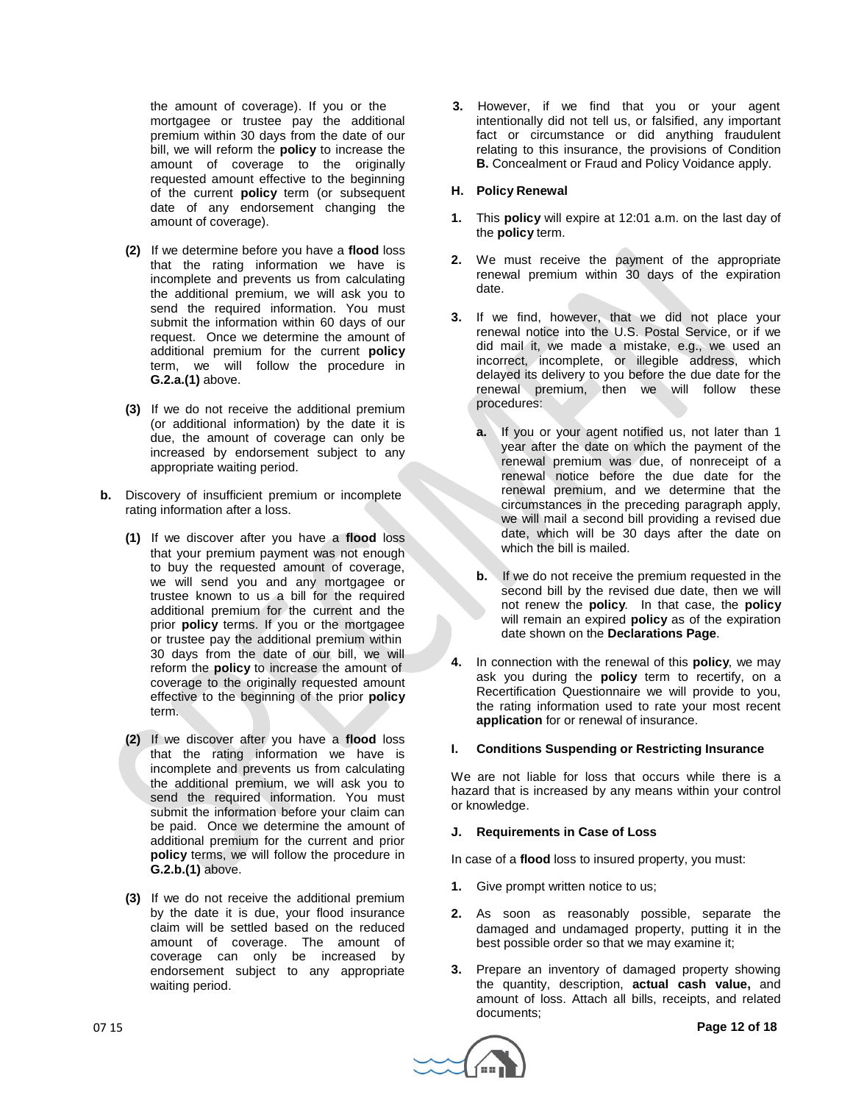the amount of coverage). If you or the mortgagee or trustee pay the additional premium within 30 days from the date of our bill, we will reform the **policy** to increase the amount of coverage to the originally requested amount effective to the beginning of the current **policy** term (or subsequent date of any endorsement changing the amount of coverage).

- **(2)** If we determine before you have a **flood** loss that the rating information we have is incomplete and prevents us from calculating the additional premium, we will ask you to send the required information. You must submit the information within 60 days of our request. Once we determine the amount of additional premium for the current **policy**  term, we will follow the procedure in **G.2.a.(1)** above.
- **(3)** If we do not receive the additional premium (or additional information) by the date it is due, the amount of coverage can only be increased by endorsement subject to any appropriate waiting period.
- **b.** Discovery of insufficient premium or incomplete rating information after a loss.
	- **(1)** If we discover after you have a **flood** loss that your premium payment was not enough to buy the requested amount of coverage, we will send you and any mortgagee or trustee known to us a bill for the required additional premium for the current and the prior **policy** terms. If you or the mortgagee or trustee pay the additional premium within 30 days from the date of our bill, we will reform the **policy** to increase the amount of coverage to the originally requested amount effective to the beginning of the prior **policy**  term.
	- **(2)** If we discover after you have a **flood** loss that the rating information we have is incomplete and prevents us from calculating the additional premium, we will ask you to send the required information. You must submit the information before your claim can be paid. Once we determine the amount of additional premium for the current and prior **policy** terms, we will follow the procedure in **G.2.b.(1)** above.
	- **(3)** If we do not receive the additional premium by the date it is due, your flood insurance claim will be settled based on the reduced amount of coverage. The amount of coverage can only be increased by endorsement subject to any appropriate waiting period.

**3.** However, if we find that you or your agent intentionally did not tell us, or falsified, any important fact or circumstance or did anything fraudulent relating to this insurance, the provisions of Condition **B.** Concealment or Fraud and Policy Voidance apply.

### **H. Policy Renewal**

- **1.** This **policy** will expire at 12:01 a.m. on the last day of the **policy** term.
- **2.** We must receive the payment of the appropriate renewal premium within 30 days of the expiration date.
- **3.** If we find, however, that we did not place your renewal notice into the U.S. Postal Service, or if we did mail it, we made a mistake, e.g., we used an incorrect, incomplete, or illegible address, which delayed its delivery to you before the due date for the renewal premium, then we will follow these procedures:
	- **a.** If you or your agent notified us, not later than 1 year after the date on which the payment of the renewal premium was due, of nonreceipt of a renewal notice before the due date for the renewal premium, and we determine that the circumstances in the preceding paragraph apply, we will mail a second bill providing a revised due date, which will be 30 days after the date on which the bill is mailed.
	- **b.** If we do not receive the premium requested in the second bill by the revised due date, then we will not renew the **policy**. In that case, the **policy**  will remain an expired **policy** as of the expiration date shown on the **Declarations Page**.
- **4.** In connection with the renewal of this **policy**, we may ask you during the **policy** term to recertify, on a Recertification Questionnaire we will provide to you, the rating information used to rate your most recent **application** for or renewal of insurance.

#### **I. Conditions Suspending or Restricting Insurance**

We are not liable for loss that occurs while there is a hazard that is increased by any means within your control or knowledge.

#### **J. Requirements in Case of Loss**

In case of a **flood** loss to insured property, you must:

- **1.** Give prompt written notice to us;
- **2.** As soon as reasonably possible, separate the damaged and undamaged property, putting it in the best possible order so that we may examine it;
- **3.** Prepare an inventory of damaged property showing the quantity, description, **actual cash value,** and amount of loss. Attach all bills, receipts, and related documents;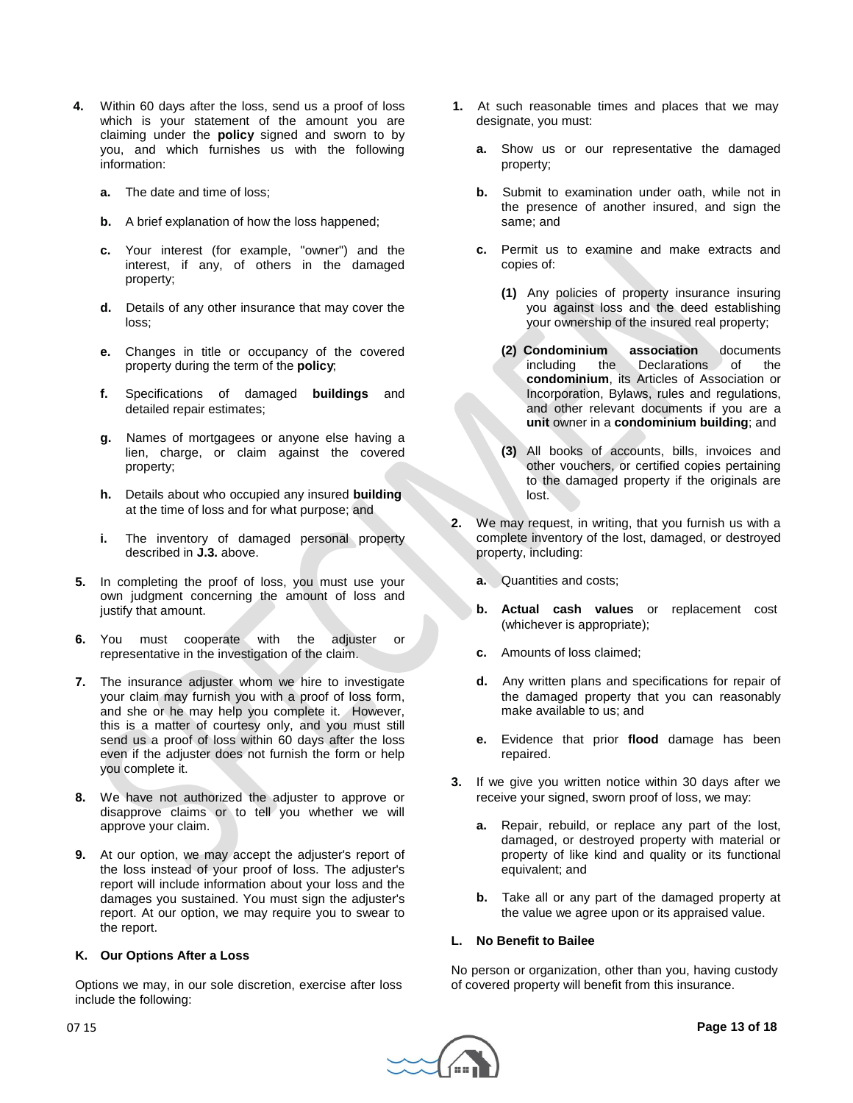- **4.** Within 60 days after the loss, send us a proof of loss which is your statement of the amount you are claiming under the **policy** signed and sworn to by you, and which furnishes us with the following information:
	- **a.** The date and time of loss;
	- **b.** A brief explanation of how the loss happened;
	- **c.** Your interest (for example, "owner") and the interest, if any, of others in the damaged property;
	- **d.** Details of any other insurance that may cover the loss;
	- **e.** Changes in title or occupancy of the covered property during the term of the **policy**;
	- **f.** Specifications of damaged **buildings** and detailed repair estimates;
	- **g.** Names of mortgagees or anyone else having a lien, charge, or claim against the covered property;
	- **h.** Details about who occupied any insured **building** at the time of loss and for what purpose; and
	- **i.** The inventory of damaged personal property described in **J.3.** above.
- **5.** In completing the proof of loss, you must use your own judgment concerning the amount of loss and justify that amount.
- **6.** You must cooperate with the adjuster or representative in the investigation of the claim.
- **7.** The insurance adjuster whom we hire to investigate your claim may furnish you with a proof of loss form, and she or he may help you complete it. However, this is a matter of courtesy only, and you must still send us a proof of loss within 60 days after the loss even if the adjuster does not furnish the form or help you complete it.
- **8.** We have not authorized the adjuster to approve or disapprove claims or to tell you whether we will approve your claim.
- **9.** At our option, we may accept the adjuster's report of the loss instead of your proof of loss. The adjuster's report will include information about your loss and the damages you sustained. You must sign the adjuster's report. At our option, we may require you to swear to the report.

#### **K. Our Options After a Loss**

Options we may, in our sole discretion, exercise after loss include the following:

- **1.** At such reasonable times and places that we may designate, you must:
	- **a.** Show us or our representative the damaged property;
	- **b.** Submit to examination under oath, while not in the presence of another insured, and sign the same; and
	- **c.** Permit us to examine and make extracts and copies of:
		- **(1)** Any policies of property insurance insuring you against loss and the deed establishing your ownership of the insured real property;
		- **(2) Condominium association** documents including the Declarations of the **condominium**, its Articles of Association or Incorporation, Bylaws, rules and regulations, and other relevant documents if you are a **unit** owner in a **condominium building**; and
		- **(3)** All books of accounts, bills, invoices and other vouchers, or certified copies pertaining to the damaged property if the originals are lost.
- **2.** We may request, in writing, that you furnish us with a complete inventory of the lost, damaged, or destroyed property, including:
	- **a.** Quantities and costs;
	- **b. Actual cash values** or replacement cost (whichever is appropriate);
	- **c.** Amounts of loss claimed;
	- **d.** Any written plans and specifications for repair of the damaged property that you can reasonably make available to us; and
	- **e.** Evidence that prior **flood** damage has been repaired.
- **3.** If we give you written notice within 30 days after we receive your signed, sworn proof of loss, we may:
	- **a.** Repair, rebuild, or replace any part of the lost, damaged, or destroyed property with material or property of like kind and quality or its functional equivalent; and
	- **b.** Take all or any part of the damaged property at the value we agree upon or its appraised value.

#### **L. No Benefit to Bailee**

No person or organization, other than you, having custody of covered property will benefit from this insurance.

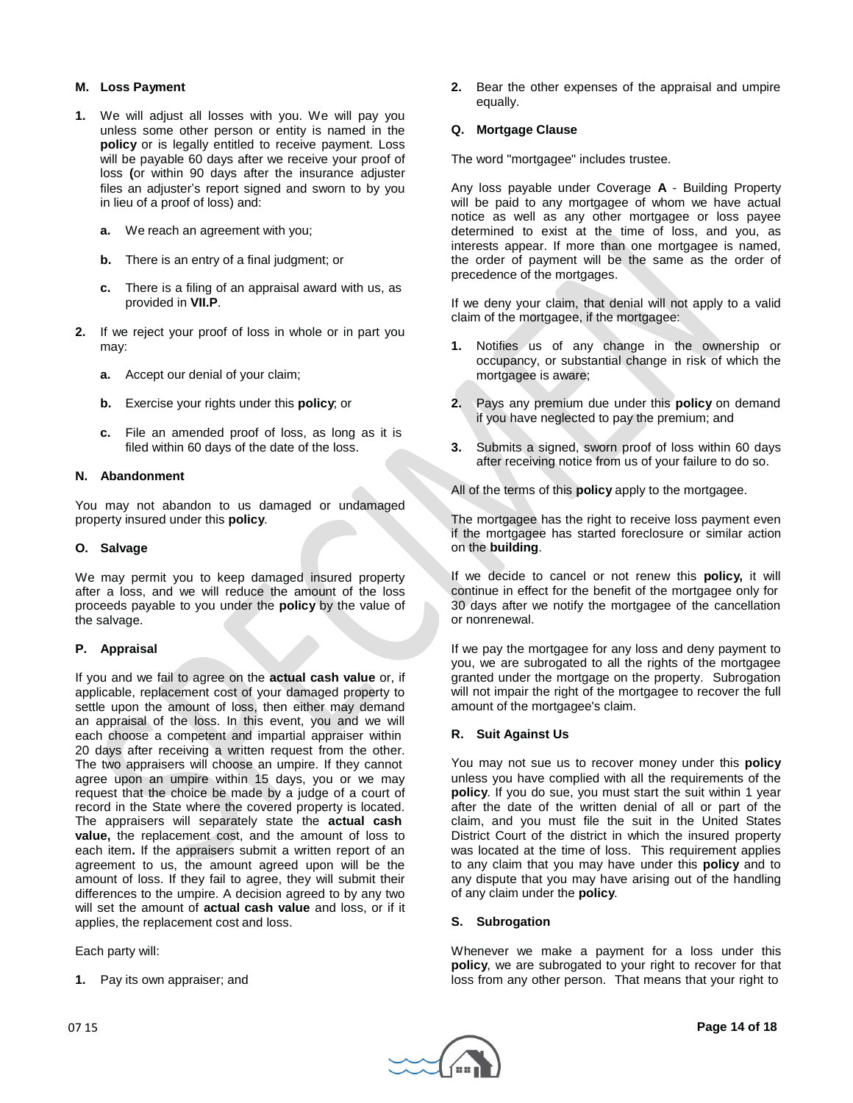#### **M. Loss Payment**

- **1.** We will adjust all losses with you. We will pay you unless some other person or entity is named in the **policy** or is legally entitled to receive payment. Loss will be payable 60 days after we receive your proof of loss **(**or within 90 days after the insurance adjuster files an adjuster's report signed and sworn to by you in lieu of a proof of loss) and:
	- **a.** We reach an agreement with you;
	- **b.** There is an entry of a final judgment; or
	- **c.** There is a filing of an appraisal award with us, as provided in **VII.P**.
- **2.** If we reject your proof of loss in whole or in part you may:
	- **a.** Accept our denial of your claim;
	- **b.** Exercise your rights under this **policy**; or
	- **c.** File an amended proof of loss, as long as it is filed within 60 days of the date of the loss.

#### **N. Abandonment**

You may not abandon to us damaged or undamaged property insured under this **policy**.

#### **O. Salvage**

We may permit you to keep damaged insured property after a loss, and we will reduce the amount of the loss proceeds payable to you under the **policy** by the value of the salvage.

# **P. Appraisal**

If you and we fail to agree on the **actual cash value** or, if applicable, replacement cost of your damaged property to settle upon the amount of loss, then either may demand an appraisal of the loss. In this event, you and we will each choose a competent and impartial appraiser within 20 days after receiving a written request from the other. The two appraisers will choose an umpire. If they cannot agree upon an umpire within 15 days, you or we may request that the choice be made by a judge of a court of record in the State where the covered property is located. The appraisers will separately state the **actual cash value,** the replacement cost, and the amount of loss to each item**.** If the appraisers submit a written report of an agreement to us, the amount agreed upon will be the amount of loss. If they fail to agree, they will submit their differences to the umpire. A decision agreed to by any two will set the amount of **actual cash value** and loss, or if it applies, the replacement cost and loss.

Each party will:

**1.** Pay its own appraiser; and

**2.** Bear the other expenses of the appraisal and umpire equally.

### **Q. Mortgage Clause**

The word "mortgagee" includes trustee.

Any loss payable under Coverage **A** - Building Property will be paid to any mortgagee of whom we have actual notice as well as any other mortgagee or loss payee determined to exist at the time of loss, and you, as interests appear. If more than one mortgagee is named, the order of payment will be the same as the order of precedence of the mortgages.

If we deny your claim, that denial will not apply to a valid claim of the mortgagee, if the mortgagee:

- **1.** Notifies us of any change in the ownership or occupancy, or substantial change in risk of which the mortgagee is aware;
- **2.** Pays any premium due under this **policy** on demand if you have neglected to pay the premium; and
- **3.** Submits a signed, sworn proof of loss within 60 days after receiving notice from us of your failure to do so.

All of the terms of this **policy** apply to the mortgagee.

The mortgagee has the right to receive loss payment even if the mortgagee has started foreclosure or similar action on the **building**.

If we decide to cancel or not renew this **policy,** it will continue in effect for the benefit of the mortgagee only for 30 days after we notify the mortgagee of the cancellation or nonrenewal.

If we pay the mortgagee for any loss and deny payment to you, we are subrogated to all the rights of the mortgagee granted under the mortgage on the property. Subrogation will not impair the right of the mortgagee to recover the full amount of the mortgagee's claim.

# **R. Suit Against Us**

You may not sue us to recover money under this **policy**  unless you have complied with all the requirements of the **policy**. If you do sue, you must start the suit within 1 year after the date of the written denial of all or part of the claim, and you must file the suit in the United States District Court of the district in which the insured property was located at the time of loss. This requirement applies to any claim that you may have under this **policy** and to any dispute that you may have arising out of the handling of any claim under the **policy**.

# **S. Subrogation**

Whenever we make a payment for a loss under this **policy**, we are subrogated to your right to recover for that loss from any other person. That means that your right to

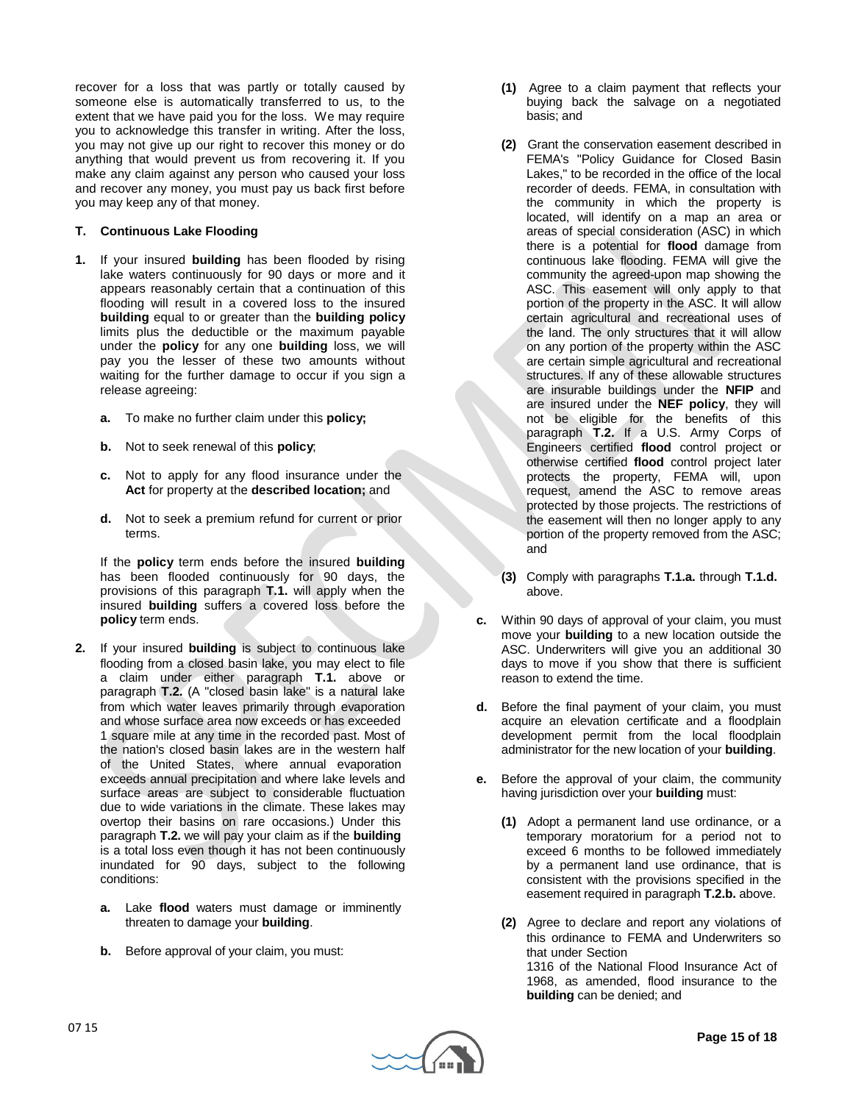recover for a loss that was partly or totally caused by someone else is automatically transferred to us, to the extent that we have paid you for the loss. We may require you to acknowledge this transfer in writing. After the loss, you may not give up our right to recover this money or do anything that would prevent us from recovering it. If you make any claim against any person who caused your loss and recover any money, you must pay us back first before you may keep any of that money.

#### **T. Continuous Lake Flooding**

- **1.** If your insured **building** has been flooded by rising lake waters continuously for 90 days or more and it appears reasonably certain that a continuation of this flooding will result in a covered loss to the insured **building** equal to or greater than the **building policy**  limits plus the deductible or the maximum payable under the **policy** for any one **building** loss, we will pay you the lesser of these two amounts without waiting for the further damage to occur if you sign a release agreeing:
	- **a.** To make no further claim under this **policy;**
	- **b.** Not to seek renewal of this **policy**;
	- **c.** Not to apply for any flood insurance under the **Act** for property at the **described location;** and
	- **d.** Not to seek a premium refund for current or prior terms.

If the **policy** term ends before the insured **building**  has been flooded continuously for 90 days, the provisions of this paragraph **T.1.** will apply when the insured **building** suffers a covered loss before the **policy** term ends.

- **2.** If your insured **building** is subject to continuous lake flooding from a closed basin lake, you may elect to file a claim under either paragraph **T.1.** above or paragraph **T.2.** (A "closed basin lake" is a natural lake from which water leaves primarily through evaporation and whose surface area now exceeds or has exceeded 1 square mile at any time in the recorded past. Most of the nation's closed basin lakes are in the western half of the United States, where annual evaporation exceeds annual precipitation and where lake levels and surface areas are subject to considerable fluctuation due to wide variations in the climate. These lakes may overtop their basins on rare occasions.) Under this paragraph **T.2.** we will pay your claim as if the **building** is a total loss even though it has not been continuously inundated for 90 days, subject to the following conditions:
	- **a.** Lake **flood** waters must damage or imminently threaten to damage your **building**.
	- **b.** Before approval of your claim, you must:
- **(1)** Agree to a claim payment that reflects your buying back the salvage on a negotiated basis; and
- **(2)** Grant the conservation easement described in FEMA's "Policy Guidance for Closed Basin Lakes," to be recorded in the office of the local recorder of deeds. FEMA, in consultation with the community in which the property is located, will identify on a map an area or areas of special consideration (ASC) in which there is a potential for **flood** damage from continuous lake flooding. FEMA will give the community the agreed-upon map showing the ASC. This easement will only apply to that portion of the property in the ASC. It will allow certain agricultural and recreational uses of the land. The only structures that it will allow on any portion of the property within the ASC are certain simple agricultural and recreational structures. If any of these allowable structures are insurable buildings under the **NFIP** and are insured under the **NEF policy**, they will not be eligible for the benefits of this paragraph **T.2.** If a U.S. Army Corps of Engineers certified **flood** control project or otherwise certified **flood** control project later protects the property, FEMA will, upon request, amend the ASC to remove areas protected by those projects. The restrictions of the easement will then no longer apply to any portion of the property removed from the ASC; and
- **(3)** Comply with paragraphs **T.1.a.** through **T.1.d.** above.
- **c.** Within 90 days of approval of your claim, you must move your **building** to a new location outside the ASC. Underwriters will give you an additional 30 days to move if you show that there is sufficient reason to extend the time.
- **d.** Before the final payment of your claim, you must acquire an elevation certificate and a floodplain development permit from the local floodplain administrator for the new location of your **building**.
- **e.** Before the approval of your claim, the community having jurisdiction over your **building** must:
	- **(1)** Adopt a permanent land use ordinance, or a temporary moratorium for a period not to exceed 6 months to be followed immediately by a permanent land use ordinance, that is consistent with the provisions specified in the easement required in paragraph **T.2.b.** above.
	- **(2)** Agree to declare and report any violations of this ordinance to FEMA and Underwriters so that under Section 1316 of the National Flood Insurance Act of 1968, as amended, flood insurance to the **building** can be denied; and

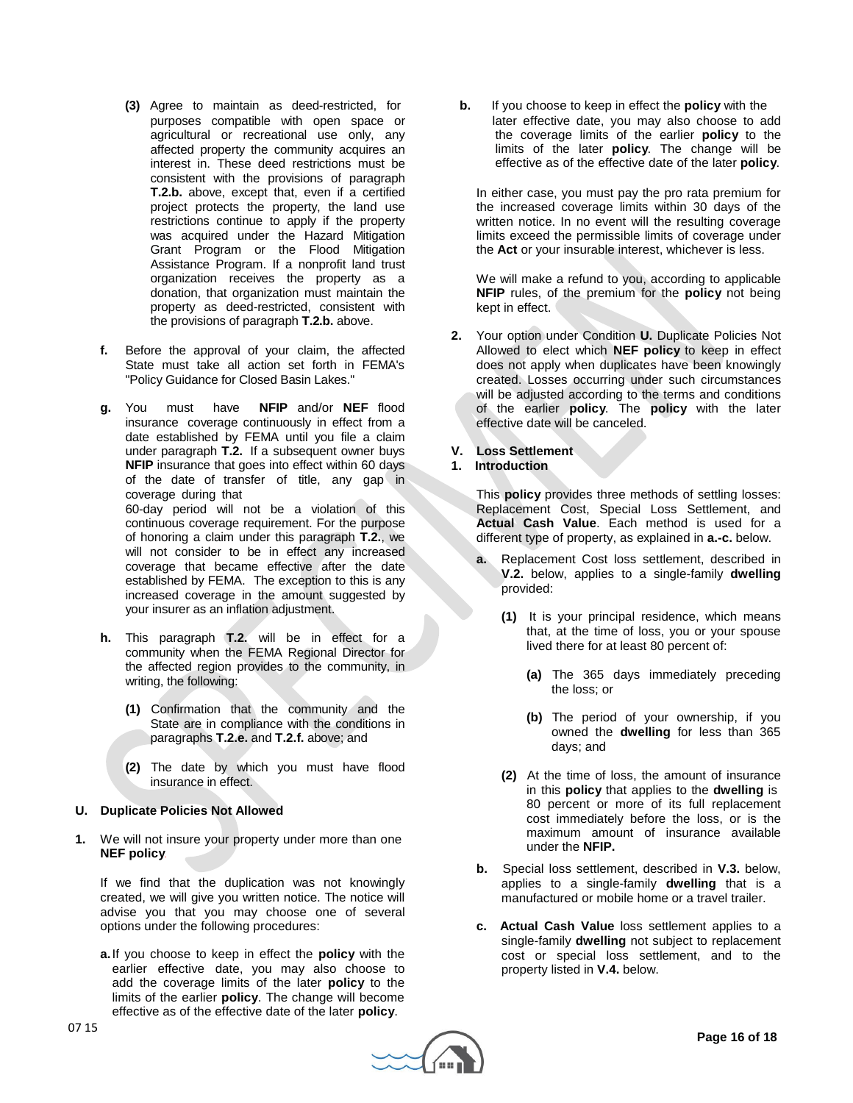- **(3)** Agree to maintain as deed-restricted, for purposes compatible with open space or agricultural or recreational use only, any affected property the community acquires an interest in. These deed restrictions must be consistent with the provisions of paragraph **T.2.b.** above, except that, even if a certified project protects the property, the land use restrictions continue to apply if the property was acquired under the Hazard Mitigation Grant Program or the Flood Mitigation Assistance Program. If a nonprofit land trust organization receives the property as a donation, that organization must maintain the property as deed-restricted, consistent with the provisions of paragraph **T.2.b.** above.
- **f.** Before the approval of your claim, the affected State must take all action set forth in FEMA's "Policy Guidance for Closed Basin Lakes."
- **g.** You must have **NFIP** and/or **NEF** flood insurance coverage continuously in effect from a date established by FEMA until you file a claim under paragraph **T.2.** If a subsequent owner buys **NFIP** insurance that goes into effect within 60 days of the date of transfer of title, any gap in coverage during that 60-day period will not be a violation of this continuous coverage requirement. For the purpose of honoring a claim under this paragraph **T.2.**, we will not consider to be in effect any increased coverage that became effective after the date established by FEMA. The exception to this is any increased coverage in the amount suggested by your insurer as an inflation adjustment.
- **h.** This paragraph **T.2.** will be in effect for a community when the FEMA Regional Director for the affected region provides to the community, in writing, the following:
	- **(1)** Confirmation that the community and the State are in compliance with the conditions in paragraphs **T.2.e.** and **T.2.f.** above; and
	- **(2)** The date by which you must have flood insurance in effect.

#### **U. Duplicate Policies Not Allowed**

**1.** We will not insure your property under more than one **NEF policy**.

If we find that the duplication was not knowingly created, we will give you written notice. The notice will advise you that you may choose one of several options under the following procedures:

**a.**If you choose to keep in effect the **policy** with the earlier effective date, you may also choose to add the coverage limits of the later **policy** to the limits of the earlier **policy**. The change will become effective as of the effective date of the later **policy**.

 **b.** If you choose to keep in effect the **policy** with the later effective date, you may also choose to add the coverage limits of the earlier **policy** to the limits of the later **policy**. The change will be effective as of the effective date of the later **policy**.

In either case, you must pay the pro rata premium for the increased coverage limits within 30 days of the written notice. In no event will the resulting coverage limits exceed the permissible limits of coverage under the **Act** or your insurable interest, whichever is less.

We will make a refund to you, according to applicable **NFIP** rules, of the premium for the **policy** not being kept in effect.

**2.** Your option under Condition **U.** Duplicate Policies Not Allowed to elect which **NEF policy** to keep in effect does not apply when duplicates have been knowingly created. Losses occurring under such circumstances will be adjusted according to the terms and conditions of the earlier **policy**. The **policy** with the later effective date will be canceled.

# **V. Loss Settlement**

#### **1. Introduction**

This **policy** provides three methods of settling losses: Replacement Cost, Special Loss Settlement, and **Actual Cash Value**. Each method is used for a different type of property, as explained in **a.-c.** below.

- **a.** Replacement Cost loss settlement, described in **V.2.** below, applies to a single-family **dwelling**  provided:
	- **(1)** It is your principal residence, which means that, at the time of loss, you or your spouse lived there for at least 80 percent of:
		- **(a)** The 365 days immediately preceding the loss; or
		- **(b)** The period of your ownership, if you owned the **dwelling** for less than 365 days; and
	- **(2)** At the time of loss, the amount of insurance in this **policy** that applies to the **dwelling** is 80 percent or more of its full replacement cost immediately before the loss, or is the maximum amount of insurance available under the **NFIP.**
- **b.** Special loss settlement, described in **V.3.** below, applies to a single-family **dwelling** that is a manufactured or mobile home or a travel trailer.
- **c. Actual Cash Value** loss settlement applies to a single-family **dwelling** not subject to replacement cost or special loss settlement, and to the property listed in **V.4.** below.

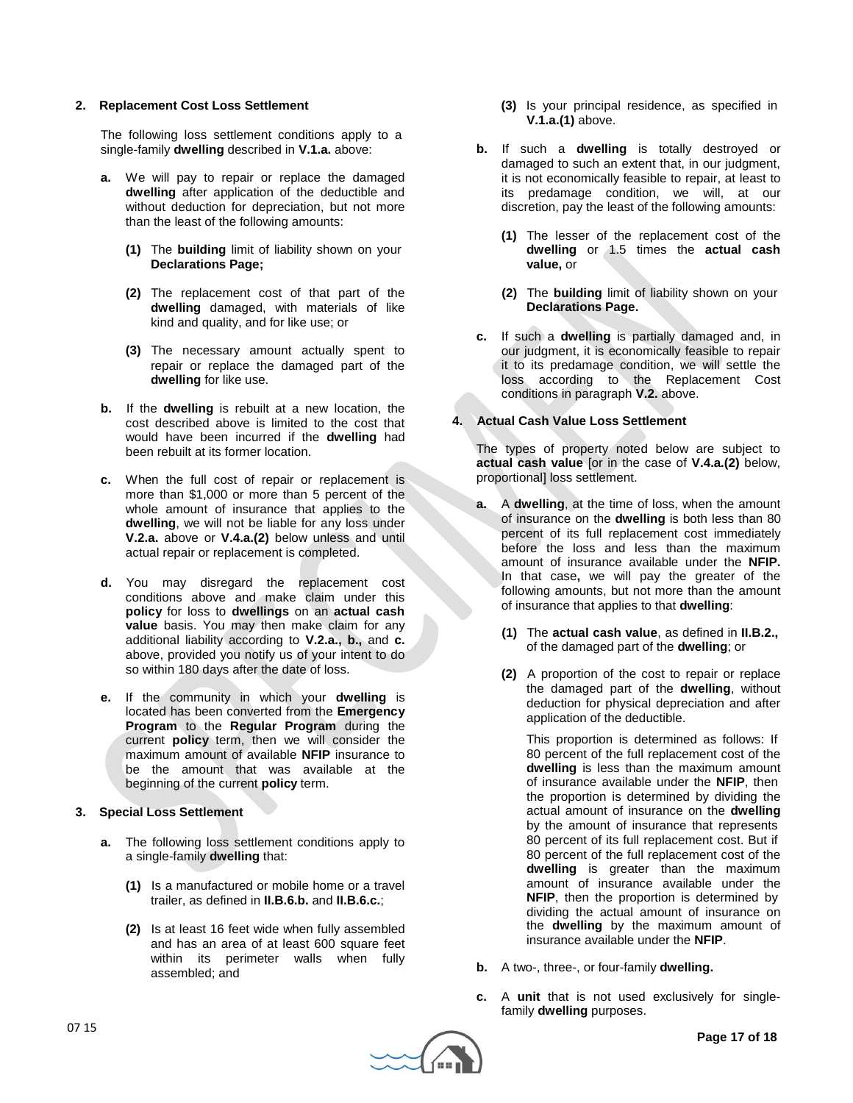#### **2. Replacement Cost Loss Settlement**

The following loss settlement conditions apply to a single-family **dwelling** described in **V.1.a.** above:

- **a.** We will pay to repair or replace the damaged **dwelling** after application of the deductible and without deduction for depreciation, but not more than the least of the following amounts:
	- **(1)** The **building** limit of liability shown on your **Declarations Page;**
	- **(2)** The replacement cost of that part of the **dwelling** damaged, with materials of like kind and quality, and for like use; or
	- **(3)** The necessary amount actually spent to repair or replace the damaged part of the **dwelling** for like use.
- **b.** If the **dwelling** is rebuilt at a new location, the cost described above is limited to the cost that would have been incurred if the **dwelling** had been rebuilt at its former location.
- **c.** When the full cost of repair or replacement is more than \$1,000 or more than 5 percent of the whole amount of insurance that applies to the **dwelling**, we will not be liable for any loss under **V.2.a.** above or **V.4.a.(2)** below unless and until actual repair or replacement is completed.
- **d.** You may disregard the replacement cost conditions above and make claim under this **policy** for loss to **dwellings** on an **actual cash value** basis. You may then make claim for any additional liability according to **V.2.a., b.,** and **c.**  above, provided you notify us of your intent to do so within 180 days after the date of loss.
- **e.** If the community in which your **dwelling** is located has been converted from the **Emergency Program** to the **Regular Program** during the current **policy** term, then we will consider the maximum amount of available **NFIP** insurance to be the amount that was available at the beginning of the current **policy** term.

#### **3. Special Loss Settlement**

- **a.** The following loss settlement conditions apply to a single-family **dwelling** that:
	- **(1)** Is a manufactured or mobile home or a travel trailer, as defined in **II.B.6.b.** and **II.B.6.c.**;
	- **(2)** Is at least 16 feet wide when fully assembled and has an area of at least 600 square feet within its perimeter walls when fully assembled; and
- **(3)** Is your principal residence, as specified in **V.1.a.(1)** above.
- **b.** If such a **dwelling** is totally destroyed or damaged to such an extent that, in our judgment, it is not economically feasible to repair, at least to its predamage condition, we will, at our discretion, pay the least of the following amounts:
	- **(1)** The lesser of the replacement cost of the **dwelling** or 1.5 times the **actual cash value,** or
	- **(2)** The **building** limit of liability shown on your **Declarations Page.**
- **c.** If such a **dwelling** is partially damaged and, in our judgment, it is economically feasible to repair it to its predamage condition, we will settle the loss according to the Replacement Cost conditions in paragraph **V.2.** above.

#### **4. Actual Cash Value Loss Settlement**

The types of property noted below are subject to **actual cash value** [or in the case of **V.4.a.(2)** below, proportional] loss settlement.

- **a.** A **dwelling**, at the time of loss, when the amount of insurance on the **dwelling** is both less than 80 percent of its full replacement cost immediately before the loss and less than the maximum amount of insurance available under the **NFIP.**  In that case**,** we will pay the greater of the following amounts, but not more than the amount of insurance that applies to that **dwelling**:
	- **(1)** The **actual cash value**, as defined in **II.B.2.,** of the damaged part of the **dwelling**; or
	- **(2)** A proportion of the cost to repair or replace the damaged part of the **dwelling**, without deduction for physical depreciation and after application of the deductible.

This proportion is determined as follows: If 80 percent of the full replacement cost of the **dwelling** is less than the maximum amount of insurance available under the **NFIP**, then the proportion is determined by dividing the actual amount of insurance on the **dwelling**  by the amount of insurance that represents 80 percent of its full replacement cost. But if 80 percent of the full replacement cost of the **dwelling** is greater than the maximum amount of insurance available under the **NFIP**, then the proportion is determined by dividing the actual amount of insurance on the **dwelling** by the maximum amount of insurance available under the **NFIP**.

- **b.** A two-, three-, or four-family **dwelling.**
- **c.** A **unit** that is not used exclusively for singlefamily **dwelling** purposes.

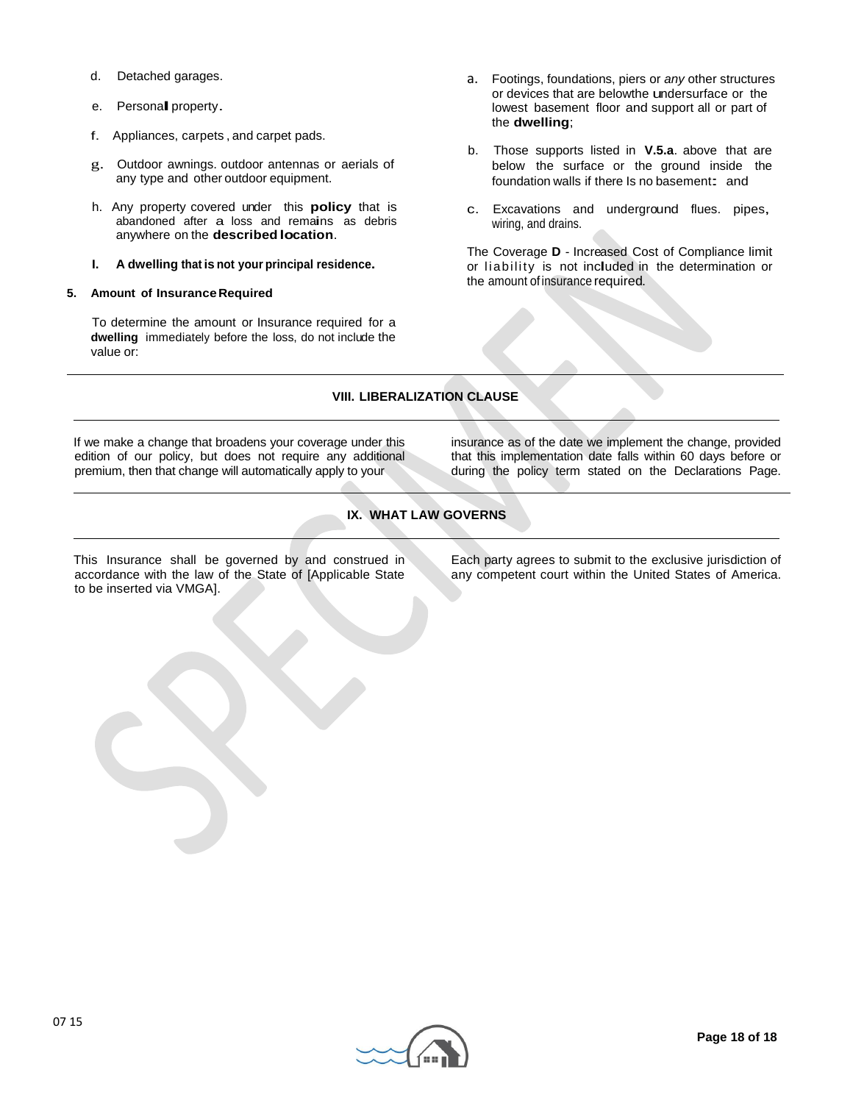- d. Detached garages.
- e. Personal property.
- f. Appliances, carpets , and carpet pads.
- g. Outdoor awnings. outdoor antennas or aerials of any type and other outdoor equipment.
- h. Any property covered under this **policy** that is abandoned after <sup>a</sup> loss and remains as debris anywhere on the **described location**.
- **I. A dwelling that is not your principal residence.**

#### **5. Amount of InsuranceRequired**

To determine the amount or Insurance required for a **dwelling** immediately before the loss, do not include the value or:

- a. Footings, foundations, piers or *any* other structures or devices that are belowthe undersurface or the lowest basement floor and support all or part of the **dwelling**;
- b. Those supports listed in **V.5.a**. above that are below the surface or the ground inside the foundation walls if there Is no basement: and
- c. Excavations and underground flues. pipes, wiring, and drains.

The Coverage **D** - Increased Cost of Compliance limit or liability is not included in the determination or the amount ofinsurance required.

# **VIII. LIBERALIZATION CLAUSE**

If we make a change that broadens your coverage under this edition of our policy, but does not require any additional premium, then that change will automatically apply to your

insurance as of the date we implement the change, provided that this implementation date falls within 60 days before or during the policy term stated on the Declarations Page.

# **IX. WHAT LAW GOVERNS**

This Insurance shall be governed by and construed in accordance with the law of the State of [Applicable State to be inserted via VMGA].

Each party agrees to submit to the exclusive jurisdiction of any competent court within the United States of America.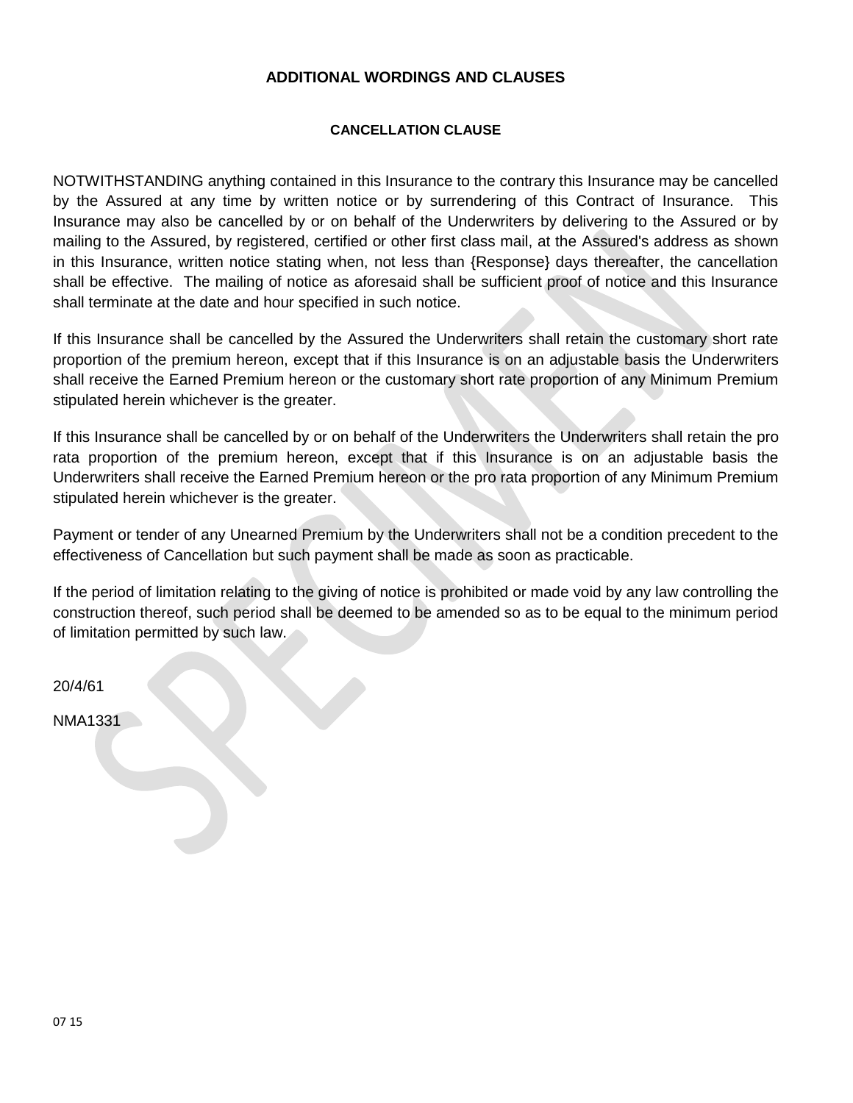# **ADDITIONAL WORDINGS AND CLAUSES**

# **CANCELLATION CLAUSE**

NOTWITHSTANDING anything contained in this Insurance to the contrary this Insurance may be cancelled by the Assured at any time by written notice or by surrendering of this Contract of Insurance. This Insurance may also be cancelled by or on behalf of the Underwriters by delivering to the Assured or by mailing to the Assured, by registered, certified or other first class mail, at the Assured's address as shown in this Insurance, written notice stating when, not less than {Response} days thereafter, the cancellation shall be effective. The mailing of notice as aforesaid shall be sufficient proof of notice and this Insurance shall terminate at the date and hour specified in such notice.

If this Insurance shall be cancelled by the Assured the Underwriters shall retain the customary short rate proportion of the premium hereon, except that if this Insurance is on an adjustable basis the Underwriters shall receive the Earned Premium hereon or the customary short rate proportion of any Minimum Premium stipulated herein whichever is the greater.

If this Insurance shall be cancelled by or on behalf of the Underwriters the Underwriters shall retain the pro rata proportion of the premium hereon, except that if this Insurance is on an adjustable basis the Underwriters shall receive the Earned Premium hereon or the pro rata proportion of any Minimum Premium stipulated herein whichever is the greater.

Payment or tender of any Unearned Premium by the Underwriters shall not be a condition precedent to the effectiveness of Cancellation but such payment shall be made as soon as practicable.

If the period of limitation relating to the giving of notice is prohibited or made void by any law controlling the construction thereof, such period shall be deemed to be amended so as to be equal to the minimum period of limitation permitted by such law.

20/4/61

NMA1331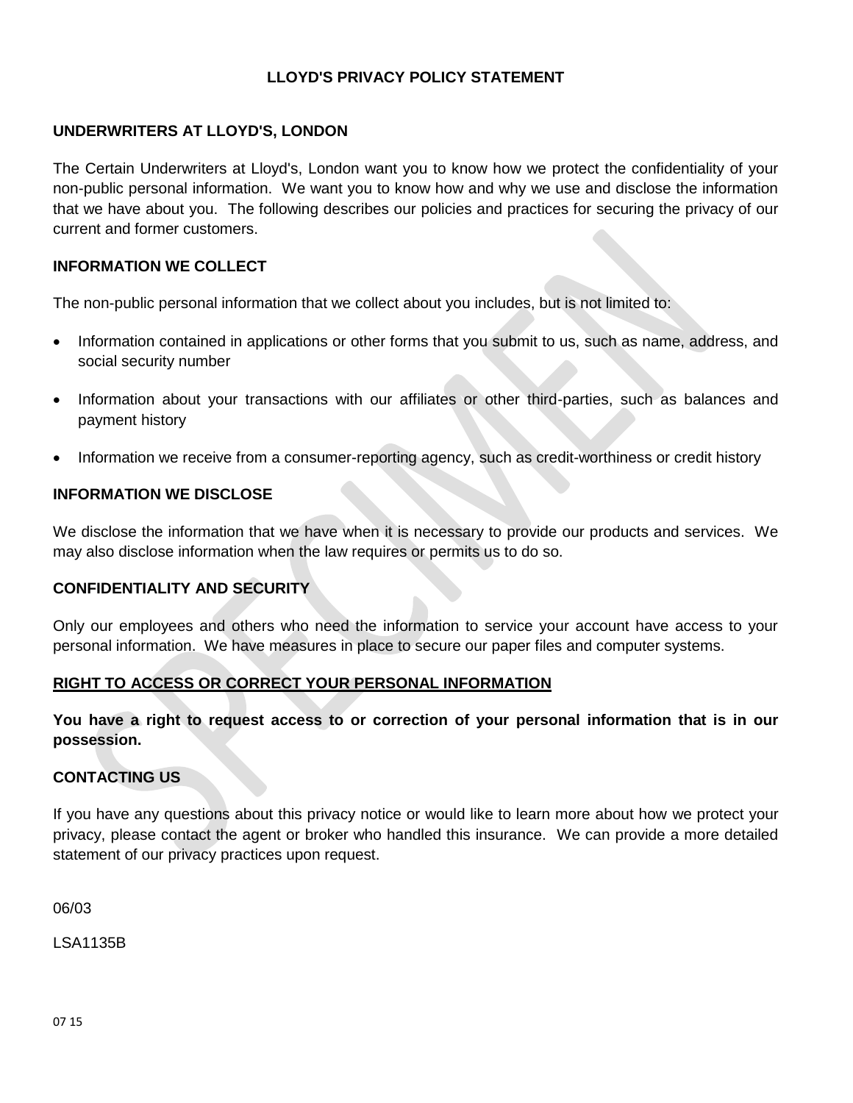# **LLOYD'S PRIVACY POLICY STATEMENT**

# **UNDERWRITERS AT LLOYD'S, LONDON**

The Certain Underwriters at Lloyd's, London want you to know how we protect the confidentiality of your non-public personal information. We want you to know how and why we use and disclose the information that we have about you. The following describes our policies and practices for securing the privacy of our current and former customers.

# **INFORMATION WE COLLECT**

The non-public personal information that we collect about you includes, but is not limited to:

- Information contained in applications or other forms that you submit to us, such as name, address, and social security number
- Information about your transactions with our affiliates or other third-parties, such as balances and payment history
- Information we receive from a consumer-reporting agency, such as credit-worthiness or credit history

# **INFORMATION WE DISCLOSE**

We disclose the information that we have when it is necessary to provide our products and services. We may also disclose information when the law requires or permits us to do so.

# **CONFIDENTIALITY AND SECURITY**

Only our employees and others who need the information to service your account have access to your personal information. We have measures in place to secure our paper files and computer systems.

# **RIGHT TO ACCESS OR CORRECT YOUR PERSONAL INFORMATION**

**You have a right to request access to or correction of your personal information that is in our possession.**

# **CONTACTING US**

If you have any questions about this privacy notice or would like to learn more about how we protect your privacy, please contact the agent or broker who handled this insurance. We can provide a more detailed statement of our privacy practices upon request.

06/03

LSA1135B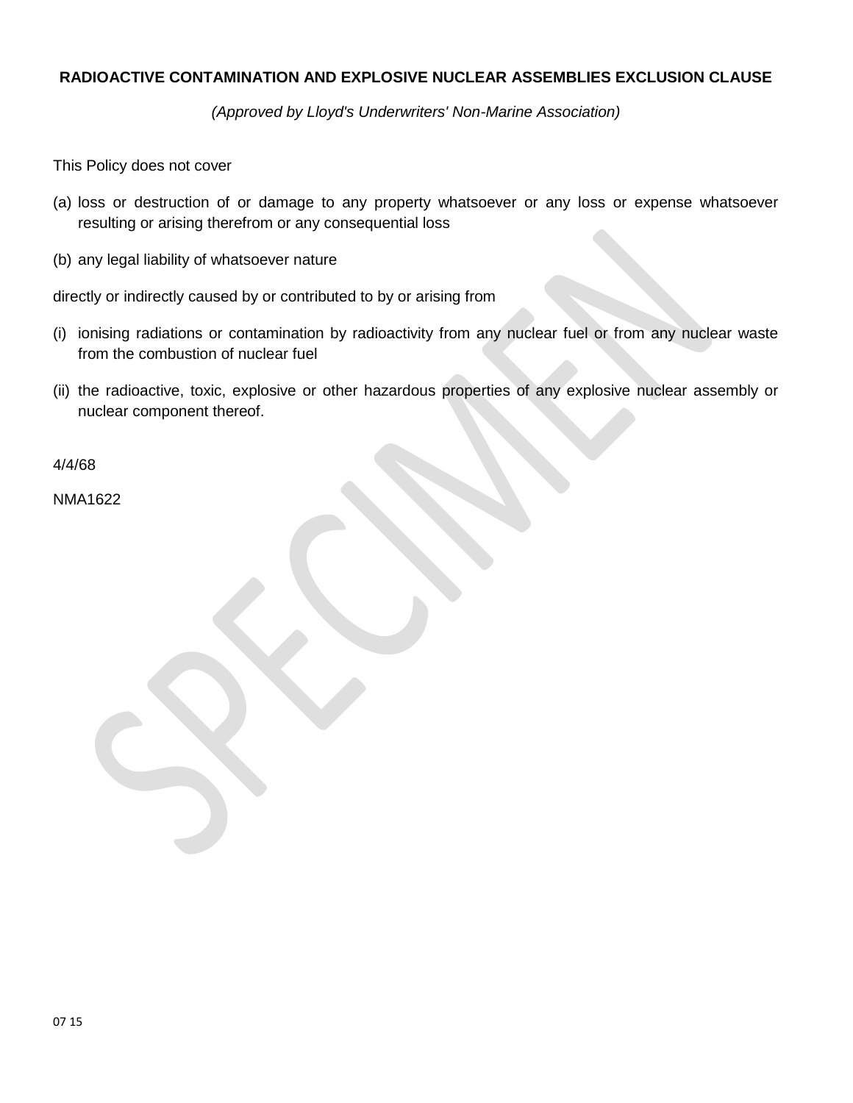# **RADIOACTIVE CONTAMINATION AND EXPLOSIVE NUCLEAR ASSEMBLIES EXCLUSION CLAUSE**

*(Approved by Lloyd's Underwriters' Non-Marine Association)*

This Policy does not cover

- (a) loss or destruction of or damage to any property whatsoever or any loss or expense whatsoever resulting or arising therefrom or any consequential loss
- (b) any legal liability of whatsoever nature

directly or indirectly caused by or contributed to by or arising from

- (i) ionising radiations or contamination by radioactivity from any nuclear fuel or from any nuclear waste from the combustion of nuclear fuel
- (ii) the radioactive, toxic, explosive or other hazardous properties of any explosive nuclear assembly or nuclear component thereof.

4/4/68

NMA1622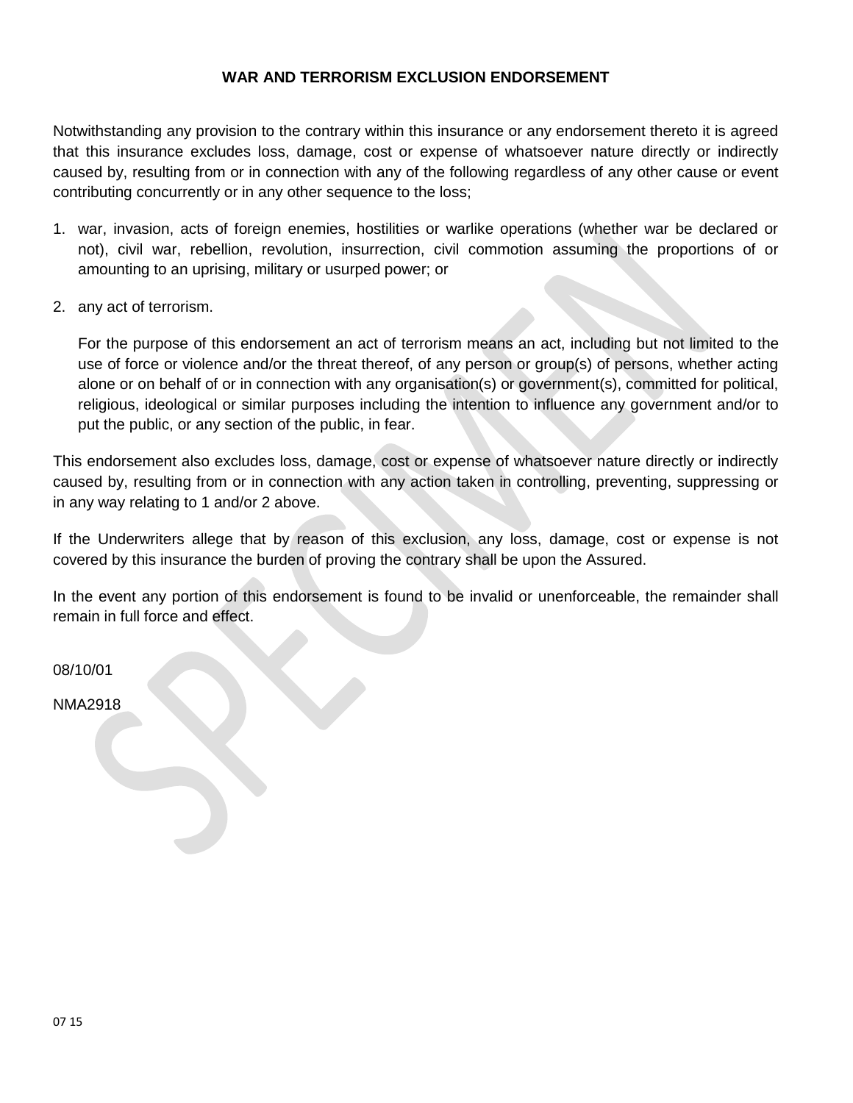# **WAR AND TERRORISM EXCLUSION ENDORSEMENT**

Notwithstanding any provision to the contrary within this insurance or any endorsement thereto it is agreed that this insurance excludes loss, damage, cost or expense of whatsoever nature directly or indirectly caused by, resulting from or in connection with any of the following regardless of any other cause or event contributing concurrently or in any other sequence to the loss;

- 1. war, invasion, acts of foreign enemies, hostilities or warlike operations (whether war be declared or not), civil war, rebellion, revolution, insurrection, civil commotion assuming the proportions of or amounting to an uprising, military or usurped power; or
- 2. any act of terrorism.

For the purpose of this endorsement an act of terrorism means an act, including but not limited to the use of force or violence and/or the threat thereof, of any person or group(s) of persons, whether acting alone or on behalf of or in connection with any organisation(s) or government(s), committed for political, religious, ideological or similar purposes including the intention to influence any government and/or to put the public, or any section of the public, in fear.

This endorsement also excludes loss, damage, cost or expense of whatsoever nature directly or indirectly caused by, resulting from or in connection with any action taken in controlling, preventing, suppressing or in any way relating to 1 and/or 2 above.

If the Underwriters allege that by reason of this exclusion, any loss, damage, cost or expense is not covered by this insurance the burden of proving the contrary shall be upon the Assured.

In the event any portion of this endorsement is found to be invalid or unenforceable, the remainder shall remain in full force and effect.

08/10/01

NMA2918